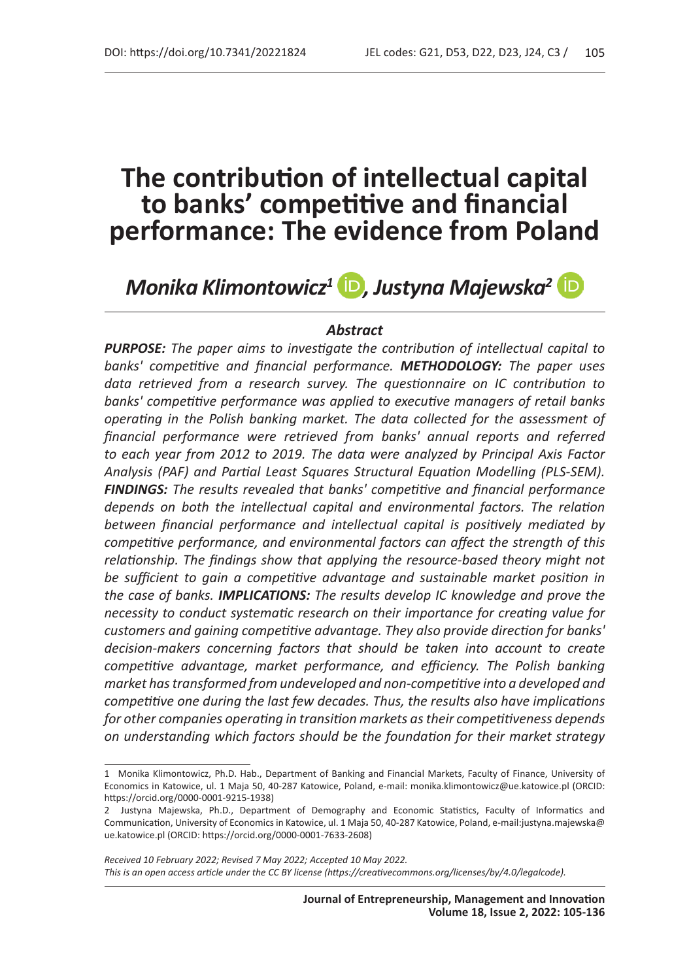*Monika Klimontowicz<sup>1</sup> D, Justyna Majewska<sup>2</sup> ID* 

### *Abstract*

*PURPOSE: The paper aims to investigate the contribution of intellectual capital to banks' competitive and financial performance. METHODOLOGY: The paper uses data retrieved from a research survey. The questionnaire on IC contribution to banks' competitive performance was applied to executive managers of retail banks operating in the Polish banking market. The data collected for the assessment of financial performance were retrieved from banks' annual reports and referred to each year from 2012 to 2019. The data were analyzed by Principal Axis Factor Analysis (PAF) and Partial Least Squares Structural Equation Modelling (PLS-SEM). FINDINGS: The results revealed that banks' competitive and financial performance depends on both the intellectual capital and environmental factors. The relation between financial performance and intellectual capital is positively mediated by competitive performance, and environmental factors can affect the strength of this relationship. The findings show that applying the resource-based theory might not be sufficient to gain a competitive advantage and sustainable market position in the case of banks. IMPLICATIONS: The results develop IC knowledge and prove the necessity to conduct systematic research on their importance for creating value for customers and gaining competitive advantage. They also provide direction for banks' decision-makers concerning factors that should be taken into account to create competitive advantage, market performance, and efficiency. The Polish banking market has transformed from undeveloped and non-competitive into a developed and competitive one during the last few decades. Thus, the results also have implications for other companies operating in transition markets as their competitiveness depends on understanding which factors should be the foundation for their market strategy* 

<sup>1</sup> Monika Klimontowicz, Ph.D. Hab., Department of Banking and Financial Markets, Faculty of Finance, University of Economics in Katowice, ul. 1 Maja 50, 40-287 Katowice, Poland, e-mail: monika.klimontowicz@ue.katowice.pl (ORCID: https://orcid.org/0000-0001-9215-1938)

<sup>2</sup> Justyna Majewska, Ph.D., Department of Demography and Economic Statistics, Faculty of Informatics and Communication, University of Economics in Katowice, ul. 1 Maja 50, 40-287 Katowice, Poland, e-mail:justyna.majewska@ ue.katowice.pl (ORCID: https://orcid.org/0000-0001-7633-2608)

*Received 10 February 2022; Revised 7 May 2022; Accepted 10 May 2022. This is an open access article under the CC BY license (https://creativecommons.org/licenses/by/4.0/legalcode).*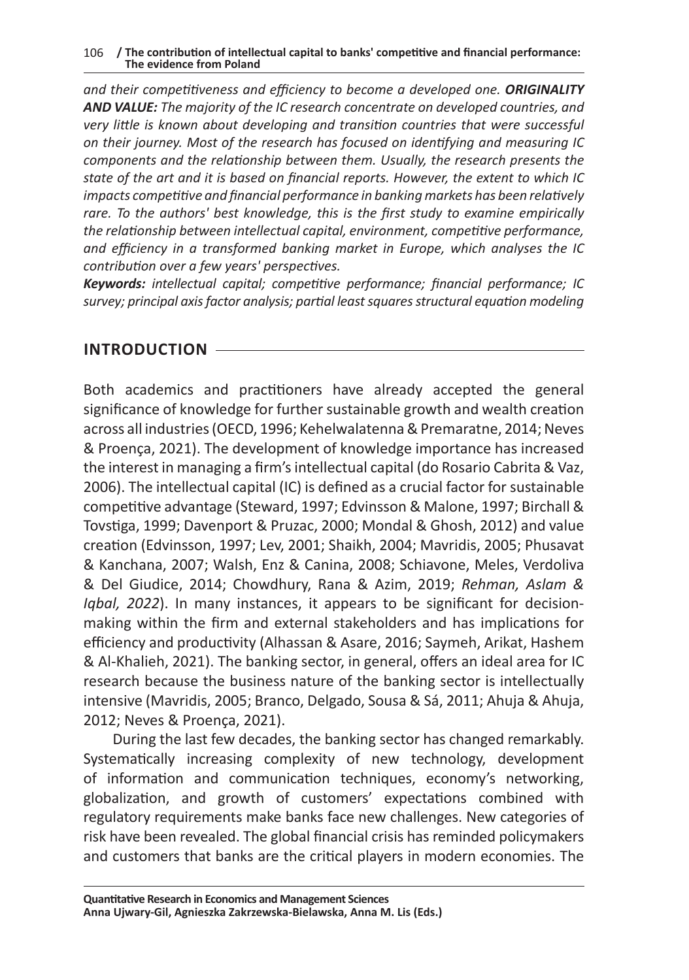*and their competitiveness and efficiency to become a developed one. ORIGINALITY AND VALUE: The majority of the IC research concentrate on developed countries, and very little is known about developing and transition countries that were successful on their journey. Most of the research has focused on identifying and measuring IC components and the relationship between them. Usually, the research presents the state of the art and it is based on financial reports. However, the extent to which IC impacts competitive and financial performance in banking markets has been relatively rare. To the authors' best knowledge, this is the first study to examine empirically the relationship between intellectual capital, environment, competitive performance, and efficiency in a transformed banking market in Europe, which analyses the IC contribution over a few years' perspectives.*

*Keywords: intellectual capital; competitive performance; financial performance; IC survey; principal axis factor analysis; partial least squares structural equation modeling*

# **INTRODUCTION**

Both academics and practitioners have already accepted the general significance of knowledge for further sustainable growth and wealth creation across all industries (OECD, 1996; Kehelwalatenna & Premaratne, 2014; Neves & Proença, 2021). The development of knowledge importance has increased the interest in managing a firm's intellectual capital (do Rosario Cabrita & Vaz, 2006). The intellectual capital (IC) is defined as a crucial factor for sustainable competitive advantage (Steward, 1997; Edvinsson & Malone, 1997; Birchall & Tovstiga, 1999; Davenport & Pruzac, 2000; Mondal & Ghosh, 2012) and value creation (Edvinsson, 1997; Lev, 2001; Shaikh, 2004; Mavridis, 2005; Phusavat & Kanchana, 2007; Walsh, Enz & Canina, 2008; Schiavone, Meles, Verdoliva & Del Giudice, 2014; Chowdhury, Rana & Azim, 2019; *Rehman, Aslam & Iqbal, 2022*). In many instances, it appears to be significant for decisionmaking within the firm and external stakeholders and has implications for efficiency and productivity (Alhassan & Asare, 2016; Saymeh, Arikat, Hashem & Al-Khalieh, 2021). The banking sector, in general, offers an ideal area for IC research because the business nature of the banking sector is intellectually intensive (Mavridis, 2005; Branco, Delgado, Sousa & Sá, 2011; Ahuja & Ahuja, 2012; Neves & Proença, 2021).

During the last few decades, the banking sector has changed remarkably. Systematically increasing complexity of new technology, development of information and communication techniques, economy's networking, globalization, and growth of customers' expectations combined with regulatory requirements make banks face new challenges. New categories of risk have been revealed. The global financial crisis has reminded policymakers and customers that banks are the critical players in modern economies. The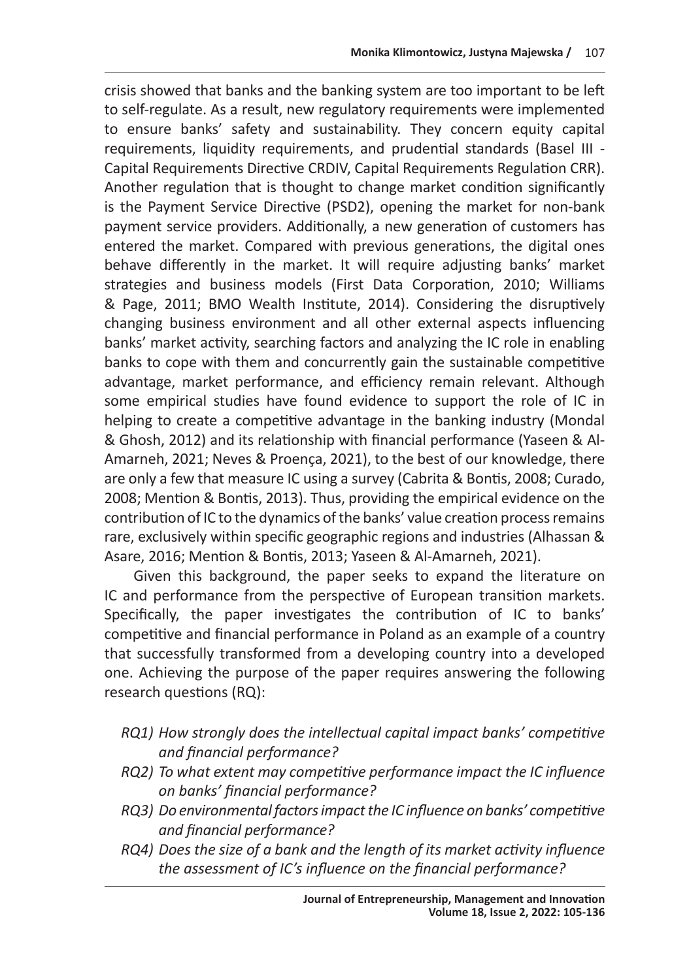crisis showed that banks and the banking system are too important to be left to self-regulate. As a result, new regulatory requirements were implemented to ensure banks' safety and sustainability. They concern equity capital requirements, liquidity requirements, and prudential standards (Basel III - Capital Requirements Directive CRDIV, Capital Requirements Regulation CRR). Another regulation that is thought to change market condition significantly is the Payment Service Directive (PSD2), opening the market for non-bank payment service providers. Additionally, a new generation of customers has entered the market. Compared with previous generations, the digital ones behave differently in the market. It will require adjusting banks' market strategies and business models (First Data Corporation, 2010; Williams & Page, 2011; BMO Wealth Institute, 2014). Considering the disruptively changing business environment and all other external aspects influencing banks' market activity, searching factors and analyzing the IC role in enabling banks to cope with them and concurrently gain the sustainable competitive advantage, market performance, and efficiency remain relevant. Although some empirical studies have found evidence to support the role of IC in helping to create a competitive advantage in the banking industry (Mondal & Ghosh, 2012) and its relationship with financial performance (Yaseen & Al-Amarneh, 2021; Neves & Proença, 2021), to the best of our knowledge, there are only a few that measure IC using a survey (Cabrita & Bontis, 2008; Curado, 2008; Mention & Bontis, 2013). Thus, providing the empirical evidence on the contribution of IC to the dynamics of the banks' value creation process remains rare, exclusively within specific geographic regions and industries (Alhassan & Asare, 2016; Mention & Bontis, 2013; Yaseen & Al-Amarneh, 2021).

Given this background, the paper seeks to expand the literature on IC and performance from the perspective of European transition markets. Specifically, the paper investigates the contribution of IC to banks' competitive and financial performance in Poland as an example of a country that successfully transformed from a developing country into a developed one. Achieving the purpose of the paper requires answering the following research questions (RQ):

- *RQ1) How strongly does the intellectual capital impact banks' competitive and financial performance?*
- *RQ2) To what extent may competitive performance impact the IC influence on banks' financial performance?*
- *RQ3) Do environmental factors impact the IC influence on banks' competitive and financial performance?*
- *RQ4) Does the size of a bank and the length of its market activity influence the assessment of IC's influence on the financial performance?*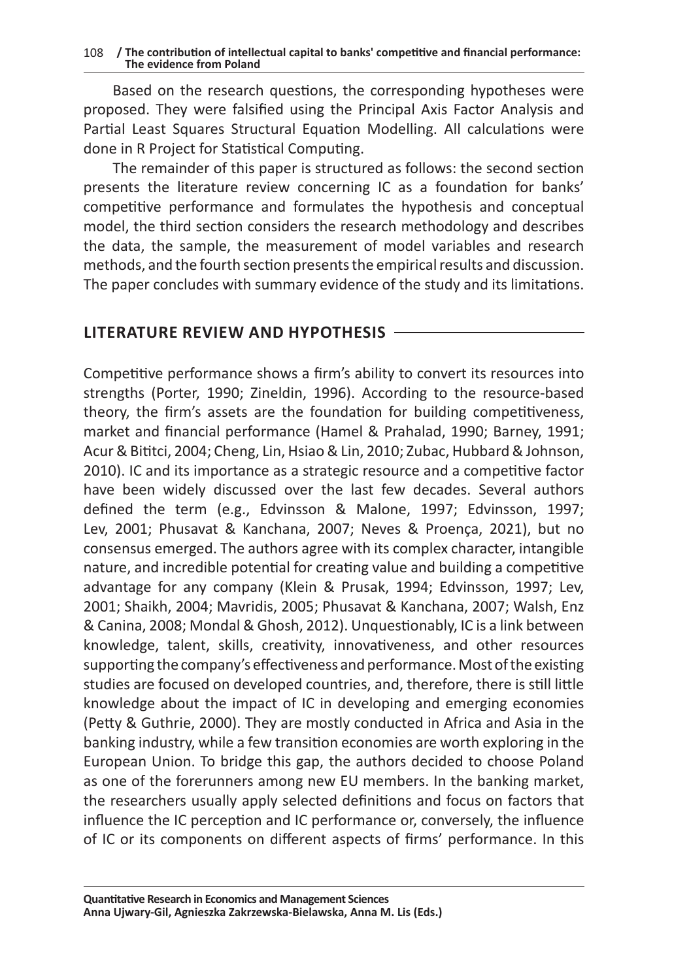Based on the research questions, the corresponding hypotheses were proposed. They were falsified using the Principal Axis Factor Analysis and Partial Least Squares Structural Equation Modelling. All calculations were done in R Project for Statistical Computing.

The remainder of this paper is structured as follows: the second section presents the literature review concerning IC as a foundation for banks' competitive performance and formulates the hypothesis and conceptual model, the third section considers the research methodology and describes the data, the sample, the measurement of model variables and research methods, and the fourth section presents the empirical results and discussion. The paper concludes with summary evidence of the study and its limitations.

### **LITERATURE REVIEW AND HYPOTHESIS**

Competitive performance shows a firm's ability to convert its resources into strengths (Porter, 1990; Zineldin, 1996). According to the resource-based theory, the firm's assets are the foundation for building competitiveness, market and financial performance (Hamel & Prahalad, 1990; Barney, 1991; Acur & Bititci, 2004; Cheng, Lin, Hsiao & Lin, 2010; Zubac, Hubbard & Johnson, 2010). IC and its importance as a strategic resource and a competitive factor have been widely discussed over the last few decades. Several authors defined the term (e.g., Edvinsson & Malone, 1997; Edvinsson, 1997; Lev, 2001; Phusavat & Kanchana, 2007; Neves & Proença, 2021), but no consensus emerged. The authors agree with its complex character, intangible nature, and incredible potential for creating value and building a competitive advantage for any company (Klein & Prusak, 1994; Edvinsson, 1997; Lev, 2001; Shaikh, 2004; Mavridis, 2005; Phusavat & Kanchana, 2007; Walsh, Enz & Canina, 2008; Mondal & Ghosh, 2012). Unquestionably, IC is a link between knowledge, talent, skills, creativity, innovativeness, and other resources supporting the company's effectiveness and performance. Most of the existing studies are focused on developed countries, and, therefore, there is still little knowledge about the impact of IC in developing and emerging economies (Petty & Guthrie, 2000). They are mostly conducted in Africa and Asia in the banking industry, while a few transition economies are worth exploring in the European Union. To bridge this gap, the authors decided to choose Poland as one of the forerunners among new EU members. In the banking market, the researchers usually apply selected definitions and focus on factors that influence the IC perception and IC performance or, conversely, the influence of IC or its components on different aspects of firms' performance. In this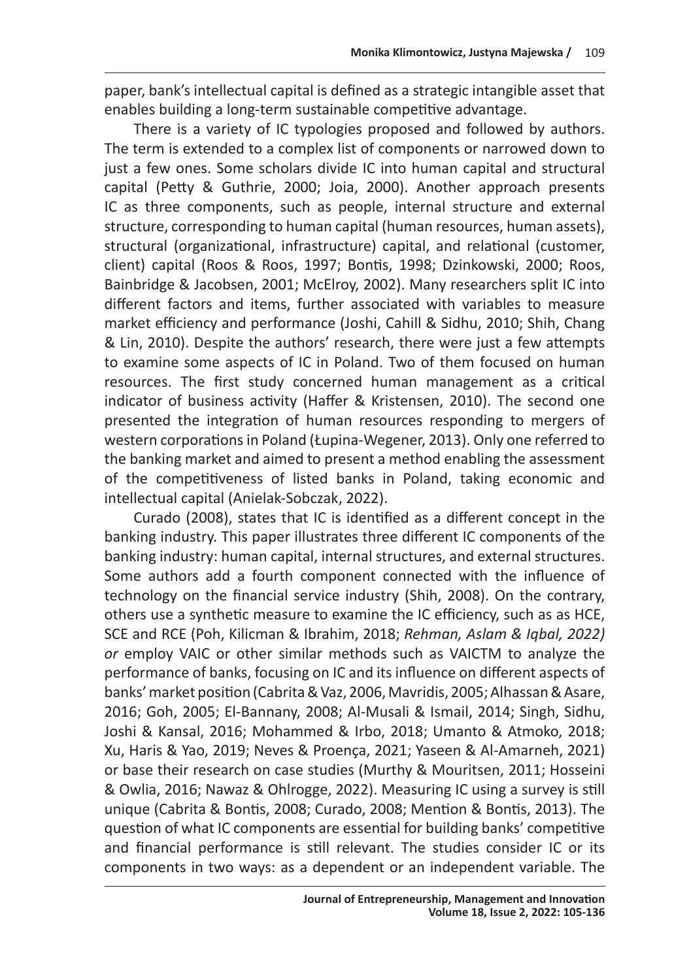paper, bank's intellectual capital is defined as a strategic intangible asset that enables building a long-term sustainable competitive advantage.

There is a variety of IC typologies proposed and followed by authors. The term is extended to a complex list of components or narrowed down to just a few ones. Some scholars divide IC into human capital and structural capital (Petty & Guthrie, 2000; Joia, 2000). Another approach presents IC as three components, such as people, internal structure and external structure, corresponding to human capital (human resources, human assets), structural (organizational, infrastructure) capital, and relational (customer, client) capital (Roos & Roos, 1997; Bontis, 1998; Dzinkowski, 2000; Roos, Bainbridge & Jacobsen, 2001; McElroy, 2002). Many researchers split IC into different factors and items, further associated with variables to measure market efficiency and performance (Joshi, Cahill & Sidhu, 2010; Shih, Chang & Lin, 2010). Despite the authors' research, there were just a few attempts to examine some aspects of IC in Poland. Two of them focused on human resources. The first study concerned human management as a critical indicator of business activity (Haffer & Kristensen, 2010). The second one presented the integration of human resources responding to mergers of western corporations in Poland (Łupina‐Wegener, 2013). Only one referred to the banking market and aimed to present a method enabling the assessment of the competitiveness of listed banks in Poland, taking economic and intellectual capital (Anielak-Sobczak, 2022).

Curado (2008), states that IC is identified as a different concept in the banking industry. This paper illustrates three different IC components of the banking industry: human capital, internal structures, and external structures. Some authors add a fourth component connected with the influence of technology on the financial service industry (Shih, 2008). On the contrary, others use a synthetic measure to examine the IC efficiency, such as as HCE, SCE and RCE (Poh, Kilicman & Ibrahim, 2018; *Rehman, Aslam & Iqbal, 2022) or* employ VAIC or other similar methods such as VAICTM to analyze the performance of banks, focusing on IC and its influence on different aspects of banks' market position (Cabrita & Vaz, 2006, Mavridis, 2005; Alhassan & Asare, 2016; Goh, 2005; El‐Bannany, 2008; Al-Musali & Ismail, 2014; Singh, Sidhu, Joshi & Kansal, 2016; Mohammed & Irbo, 2018; Umanto & Atmoko, 2018; Xu, Haris & Yao, 2019; Neves & Proença, 2021; Yaseen & Al-Amarneh, 2021) or base their research on case studies (Murthy & Mouritsen, 2011; Hosseini & Owlia, 2016; Nawaz & Ohlrogge, 2022). Measuring IC using a survey is still unique (Cabrita & Bontis, 2008; Curado, 2008; Mention & Bontis, 2013). The question of what IC components are essential for building banks' competitive and financial performance is still relevant. The studies consider IC or its components in two ways: as a dependent or an independent variable. The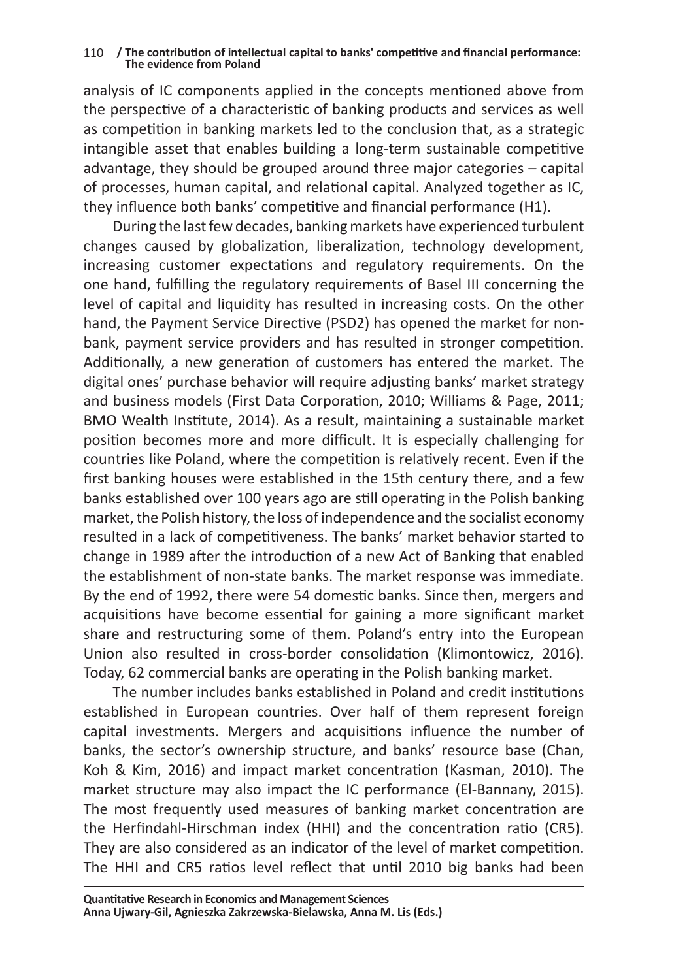analysis of IC components applied in the concepts mentioned above from the perspective of a characteristic of banking products and services as well as competition in banking markets led to the conclusion that, as a strategic intangible asset that enables building a long-term sustainable competitive advantage, they should be grouped around three major categories – capital of processes, human capital, and relational capital. Analyzed together as IC, they influence both banks' competitive and financial performance (H1).

During the last few decades, banking markets have experienced turbulent changes caused by globalization, liberalization, technology development, increasing customer expectations and regulatory requirements. On the one hand, fulfilling the regulatory requirements of Basel III concerning the level of capital and liquidity has resulted in increasing costs. On the other hand, the Payment Service Directive (PSD2) has opened the market for nonbank, payment service providers and has resulted in stronger competition. Additionally, a new generation of customers has entered the market. The digital ones' purchase behavior will require adjusting banks' market strategy and business models (First Data Corporation, 2010; Williams & Page, 2011; BMO Wealth Institute, 2014). As a result, maintaining a sustainable market position becomes more and more difficult. It is especially challenging for countries like Poland, where the competition is relatively recent. Even if the first banking houses were established in the 15th century there, and a few banks established over 100 years ago are still operating in the Polish banking market, the Polish history, the loss of independence and the socialist economy resulted in a lack of competitiveness. The banks' market behavior started to change in 1989 after the introduction of a new Act of Banking that enabled the establishment of non-state banks. The market response was immediate. By the end of 1992, there were 54 domestic banks. Since then, mergers and acquisitions have become essential for gaining a more significant market share and restructuring some of them. Poland's entry into the European Union also resulted in cross-border consolidation (Klimontowicz, 2016). Today, 62 commercial banks are operating in the Polish banking market.

The number includes banks established in Poland and credit institutions established in European countries. Over half of them represent foreign capital investments. Mergers and acquisitions influence the number of banks, the sector's ownership structure, and banks' resource base (Chan, Koh & Kim, 2016) and impact market concentration (Kasman, 2010). The market structure may also impact the IC performance (El-Bannany, 2015). The most frequently used measures of banking market concentration are the Herfindahl-Hirschman index (HHI) and the concentration ratio (CR5). They are also considered as an indicator of the level of market competition. The HHI and CR5 ratios level reflect that until 2010 big banks had been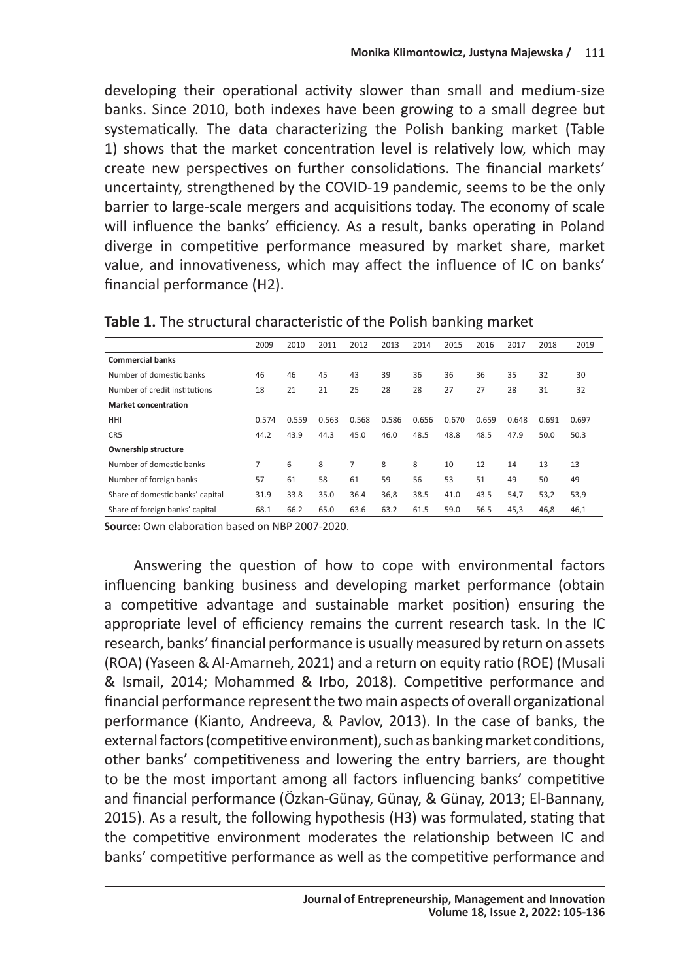developing their operational activity slower than small and medium-size banks. Since 2010, both indexes have been growing to a small degree but systematically. The data characterizing the Polish banking market (Table 1) shows that the market concentration level is relatively low, which may create new perspectives on further consolidations. The financial markets' uncertainty, strengthened by the COVID-19 pandemic, seems to be the only barrier to large-scale mergers and acquisitions today. The economy of scale will influence the banks' efficiency. As a result, banks operating in Poland diverge in competitive performance measured by market share, market value, and innovativeness, which may affect the influence of IC on banks' financial performance (H2).

|                                  | 2009  | 2010  | 2011  | 2012  | 2013  | 2014  | 2015  | 2016  | 2017  | 2018  | 2019  |
|----------------------------------|-------|-------|-------|-------|-------|-------|-------|-------|-------|-------|-------|
| <b>Commercial banks</b>          |       |       |       |       |       |       |       |       |       |       |       |
| Number of domestic banks         | 46    | 46    | 45    | 43    | 39    | 36    | 36    | 36    | 35    | 32    | 30    |
| Number of credit institutions    | 18    | 21    | 21    | 25    | 28    | 28    | 27    | 27    | 28    | 31    | 32    |
| <b>Market concentration</b>      |       |       |       |       |       |       |       |       |       |       |       |
| HHI                              | 0.574 | 0.559 | 0.563 | 0.568 | 0.586 | 0.656 | 0.670 | 0.659 | 0.648 | 0.691 | 0.697 |
| CR5                              | 44.2  | 43.9  | 44.3  | 45.0  | 46.0  | 48.5  | 48.8  | 48.5  | 47.9  | 50.0  | 50.3  |
| Ownership structure              |       |       |       |       |       |       |       |       |       |       |       |
| Number of domestic banks         | 7     | 6     | 8     | 7     | 8     | 8     | 10    | 12    | 14    | 13    | 13    |
| Number of foreign banks          | 57    | 61    | 58    | 61    | 59    | 56    | 53    | 51    | 49    | 50    | 49    |
| Share of domestic banks' capital | 31.9  | 33.8  | 35.0  | 36.4  | 36,8  | 38.5  | 41.0  | 43.5  | 54,7  | 53,2  | 53,9  |
| Share of foreign banks' capital  | 68.1  | 66.2  | 65.0  | 63.6  | 63.2  | 61.5  | 59.0  | 56.5  | 45,3  | 46,8  | 46,1  |

**Table 1.** The structural characteristic of the Polish banking market

**Source:** Own elaboration based on NBP 2007-2020.

Answering the question of how to cope with environmental factors influencing banking business and developing market performance (obtain a competitive advantage and sustainable market position) ensuring the appropriate level of efficiency remains the current research task. In the IC research, banks' financial performance is usually measured by return on assets (ROA) (Yaseen & Al-Amarneh, 2021) and a return on equity ratio (ROE) (Musali & Ismail, 2014; Mohammed & Irbo, 2018). Competitive performance and financial performance represent the two main aspects of overall organizational performance (Kianto, Andreeva, & Pavlov, 2013). In the case of banks, the external factors (competitive environment), such as banking market conditions, other banks' competitiveness and lowering the entry barriers, are thought to be the most important among all factors influencing banks' competitive and financial performance (Özkan-Günay, Günay, & Günay, 2013; El-Bannany, 2015). As a result, the following hypothesis (H3) was formulated, stating that the competitive environment moderates the relationship between IC and banks' competitive performance as well as the competitive performance and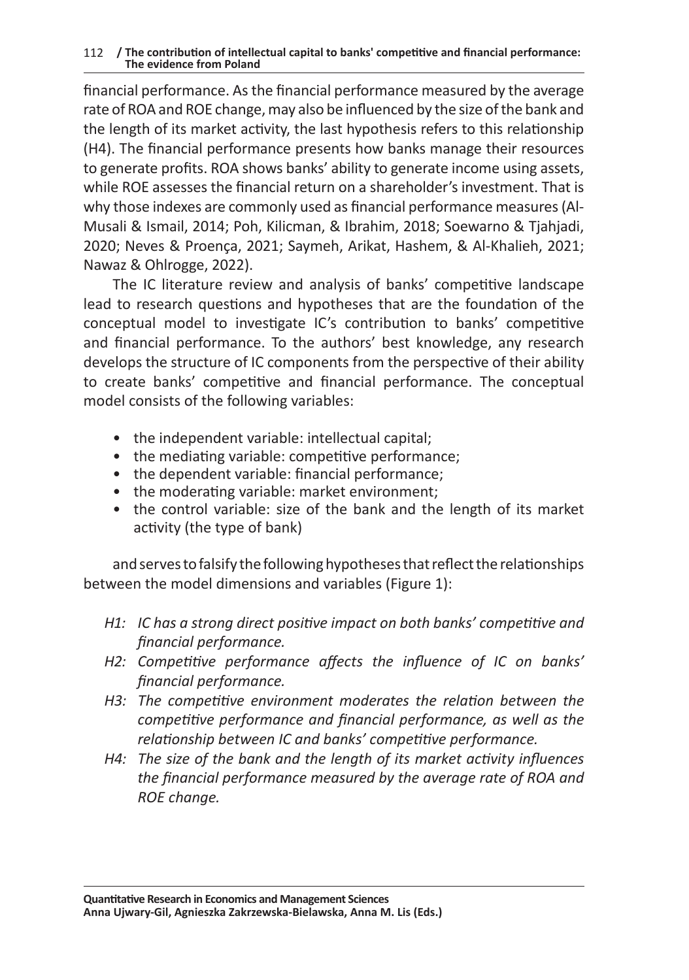financial performance. As the financial performance measured by the average rate of ROA and ROE change, may also be influenced by the size of the bank and the length of its market activity, the last hypothesis refers to this relationship (H4). The financial performance presents how banks manage their resources to generate profits. ROA shows banks' ability to generate income using assets, while ROE assesses the financial return on a shareholder's investment. That is why those indexes are commonly used as financial performance measures (Al-Musali & Ismail, 2014; Poh, Kilicman, & Ibrahim, 2018; Soewarno & Tjahjadi, 2020; Neves & Proença, 2021; Saymeh, Arikat, Hashem, & Al-Khalieh, 2021; Nawaz & Ohlrogge, 2022).

The IC literature review and analysis of banks' competitive landscape lead to research questions and hypotheses that are the foundation of the conceptual model to investigate IC's contribution to banks' competitive and financial performance. To the authors' best knowledge, any research develops the structure of IC components from the perspective of their ability to create banks' competitive and financial performance. The conceptual model consists of the following variables:

- the independent variable: intellectual capital;
- the mediating variable: competitive performance;
- the dependent variable: financial performance;
- the moderating variable: market environment;
- the control variable: size of the bank and the length of its market activity (the type of bank)

and serves to falsify the following hypotheses that reflect the relationships between the model dimensions and variables (Figure 1):

- *H1: IC has a strong direct positive impact on both banks' competitive and financial performance.*
- *H2: Competitive performance affects the influence of IC on banks' financial performance.*
- *H3: The competitive environment moderates the relation between the competitive performance and financial performance, as well as the relationship between IC and banks' competitive performance.*
- *H4: The size of the bank and the length of its market activity influences the financial performance measured by the average rate of ROA and ROE change.*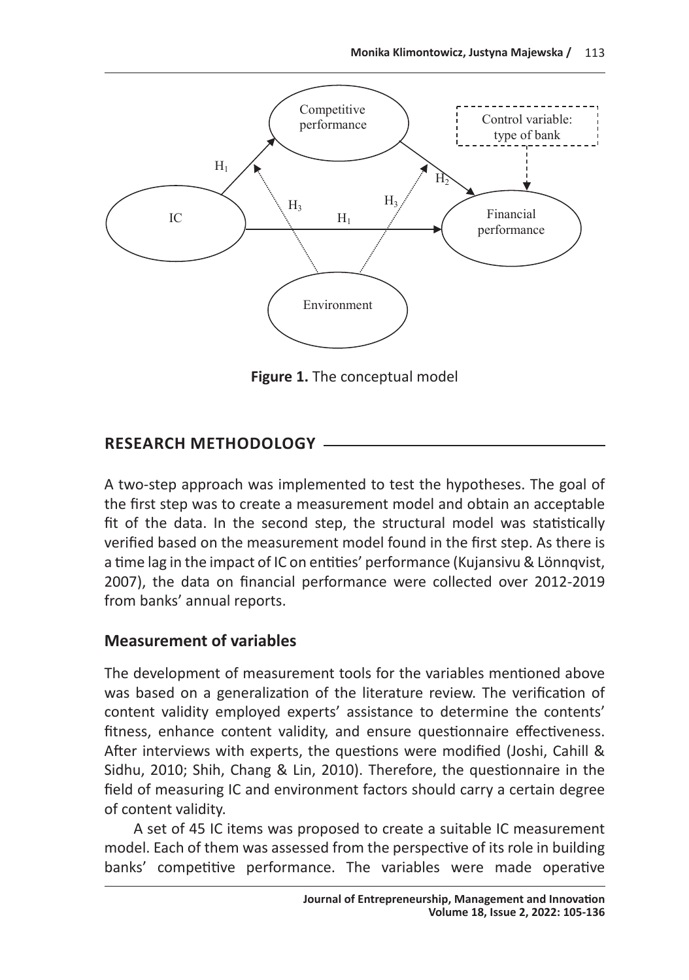

**Figure 1.** The conceptual model

# **RESEARCH METHODOLOGY**

A two-step approach was implemented to test the hypotheses. The goal of the first step was to create a measurement model and obtain an acceptable fit of the data. In the second step, the structural model was statistically verified based on the measurement model found in the first step. As there is a time lag in the impact of IC on entities' performance (Kujansivu & Lönnqvist, 2007), the data on financial performance were collected over 2012-2019 from banks' annual reports.

# **Measurement of variables**

The development of measurement tools for the variables mentioned above was based on a generalization of the literature review. The verification of content validity employed experts' assistance to determine the contents' fitness, enhance content validity, and ensure questionnaire effectiveness. After interviews with experts, the questions were modified (Joshi, Cahill & Sidhu, 2010; Shih, Chang & Lin, 2010). Therefore, the questionnaire in the field of measuring IC and environment factors should carry a certain degree of content validity.

A set of 45 IC items was proposed to create a suitable IC measurement model. Each of them was assessed from the perspective of its role in building banks' competitive performance. The variables were made operative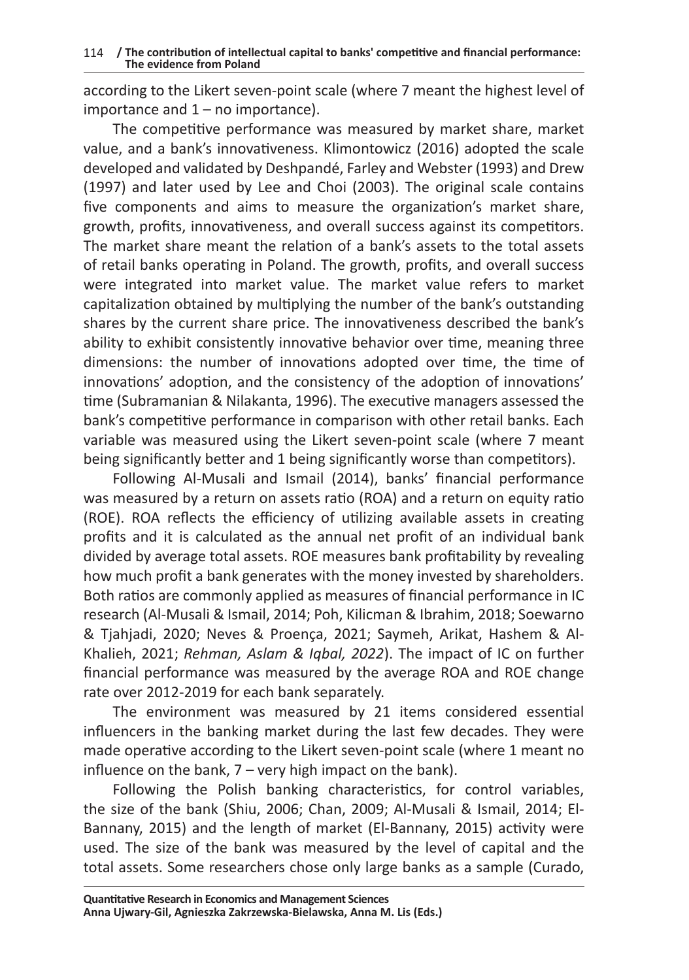according to the Likert seven-point scale (where 7 meant the highest level of importance and  $1 -$  no importance).

The competitive performance was measured by market share, market value, and a bank's innovativeness. Klimontowicz (2016) adopted the scale developed and validated by Deshpandé, Farley and Webster (1993) and Drew (1997) and later used by Lee and Choi (2003). The original scale contains five components and aims to measure the organization's market share, growth, profits, innovativeness, and overall success against its competitors. The market share meant the relation of a bank's assets to the total assets of retail banks operating in Poland. The growth, profits, and overall success were integrated into market value. The market value refers to market capitalization obtained by multiplying the number of the bank's outstanding shares by the current share price. The innovativeness described the bank's ability to exhibit consistently innovative behavior over time, meaning three dimensions: the number of innovations adopted over time, the time of innovations' adoption, and the consistency of the adoption of innovations' time (Subramanian & Nilakanta, 1996). The executive managers assessed the bank's competitive performance in comparison with other retail banks. Each variable was measured using the Likert seven-point scale (where 7 meant being significantly better and 1 being significantly worse than competitors).

Following Al-Musali and Ismail (2014), banks' financial performance was measured by a return on assets ratio (ROA) and a return on equity ratio (ROE). ROA reflects the efficiency of utilizing available assets in creating profits and it is calculated as the annual net profit of an individual bank divided by average total assets. ROE measures bank profitability by revealing how much profit a bank generates with the money invested by shareholders. Both ratios are commonly applied as measures of financial performance in IC research (Al-Musali & Ismail, 2014; Poh, Kilicman & Ibrahim, 2018; Soewarno & Tjahjadi, 2020; Neves & Proença, 2021; Saymeh, Arikat, Hashem & Al-Khalieh, 2021; *Rehman, Aslam & Iqbal, 2022*). The impact of IC on further financial performance was measured by the average ROA and ROE change rate over 2012-2019 for each bank separately.

The environment was measured by 21 items considered essential influencers in the banking market during the last few decades. They were made operative according to the Likert seven-point scale (where 1 meant no influence on the bank, 7 – very high impact on the bank).

Following the Polish banking characteristics, for control variables, the size of the bank (Shiu, 2006; Chan, 2009; Al-Musali & Ismail, 2014; El-Bannany, 2015) and the length of market (El-Bannany, 2015) activity were used. The size of the bank was measured by the level of capital and the total assets. Some researchers chose only large banks as a sample (Curado,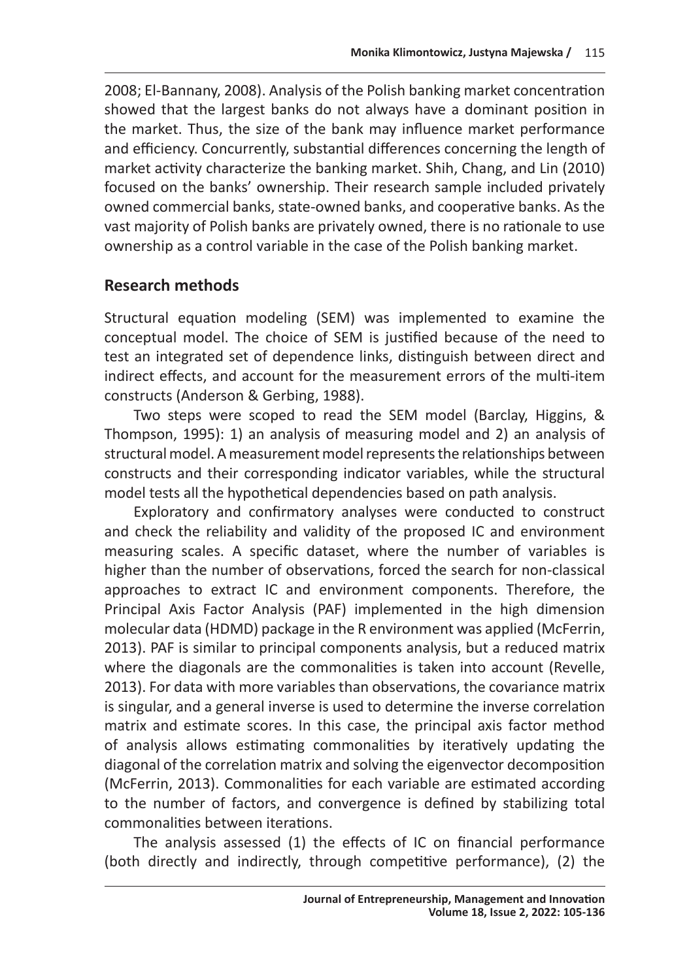2008; El‐Bannany, 2008). Analysis of the Polish banking market concentration showed that the largest banks do not always have a dominant position in the market. Thus, the size of the bank may influence market performance and efficiency. Concurrently, substantial differences concerning the length of market activity characterize the banking market. Shih, Chang, and Lin (2010) focused on the banks' ownership. Their research sample included privately owned commercial banks, state-owned banks, and cooperative banks. As the vast majority of Polish banks are privately owned, there is no rationale to use ownership as a control variable in the case of the Polish banking market.

# **Research methods**

Structural equation modeling (SEM) was implemented to examine the conceptual model. The choice of SEM is justified because of the need to test an integrated set of dependence links, distinguish between direct and indirect effects, and account for the measurement errors of the multi-item constructs (Anderson & Gerbing, 1988).

Two steps were scoped to read the SEM model (Barclay, Higgins, & Thompson, 1995): 1) an analysis of measuring model and 2) an analysis of structural model. Ameasurement model represents the relationships between constructs and their corresponding indicator variables, while the structural model tests all the hypothetical dependencies based on path analysis.

Exploratory and confirmatory analyses were conducted to construct and check the reliability and validity of the proposed IC and environment measuring scales. A specific dataset, where the number of variables is higher than the number of observations, forced the search for non-classical approaches to extract IC and environment components. Therefore, the Principal Axis Factor Analysis (PAF) implemented in the high dimension molecular data (HDMD) package in the R environment was applied (McFerrin, 2013). PAF is similar to principal components analysis, but a reduced matrix where the diagonals are the commonalities is taken into account (Revelle, 2013). For data with more variables than observations, the covariance matrix is singular, and a general inverse is used to determine the inverse correlation matrix and estimate scores. In this case, the principal axis factor method of analysis allows estimating commonalities by iteratively updating the diagonal of the correlation matrix and solving the eigenvector decomposition (McFerrin, 2013). Commonalities for each variable are estimated according to the number of factors, and convergence is defined by stabilizing total commonalities between iterations.

The analysis assessed (1) the effects of IC on financial performance (both directly and indirectly, through competitive performance), (2) the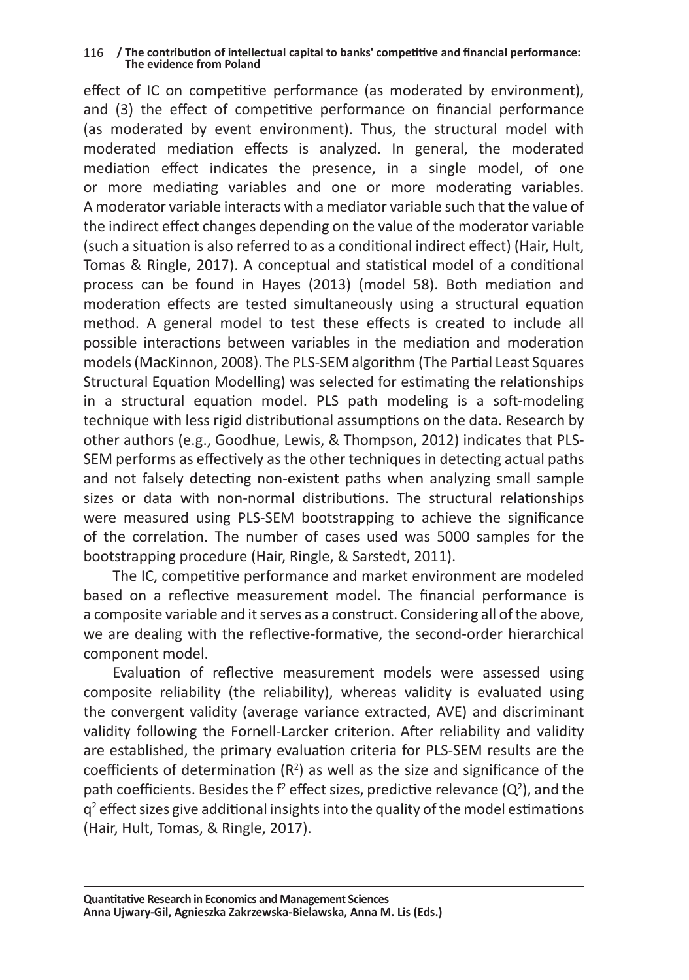effect of IC on competitive performance (as moderated by environment), and (3) the effect of competitive performance on financial performance (as moderated by event environment). Thus, the structural model with moderated mediation effects is analyzed. In general, the moderated mediation effect indicates the presence, in a single model, of one or more mediating variables and one or more moderating variables. A moderator variable interacts with a mediator variable such that the value of the indirect effect changes depending on the value of the moderator variable (such a situation is also referred to as a conditional indirect effect) (Hair, Hult, Tomas & Ringle, 2017). A conceptual and statistical model of a conditional process can be found in Hayes (2013) (model 58). Both mediation and moderation effects are tested simultaneously using a structural equation method. A general model to test these effects is created to include all possible interactions between variables in the mediation and moderation models (MacKinnon, 2008). The PLS-SEM algorithm (The Partial Least Squares Structural Equation Modelling) was selected for estimating the relationships in a structural equation model. PLS path modeling is a soft-modeling technique with less rigid distributional assumptions on the data. Research by other authors (e.g., Goodhue, Lewis, & Thompson, 2012) indicates that PLS-SEM performs as effectively as the other techniques in detecting actual paths and not falsely detecting non-existent paths when analyzing small sample sizes or data with non-normal distributions. The structural relationships were measured using PLS-SEM bootstrapping to achieve the significance of the correlation. The number of cases used was 5000 samples for the bootstrapping procedure (Hair, Ringle, & Sarstedt, 2011).

The IC, competitive performance and market environment are modeled based on a reflective measurement model. The financial performance is a composite variable and it serves as a construct. Considering all of the above, we are dealing with the reflective-formative, the second-order hierarchical component model.

Evaluation of reflective measurement models were assessed using composite reliability (the reliability), whereas validity is evaluated using the convergent validity (average variance extracted, AVE) and discriminant validity following the Fornell-Larcker criterion. After reliability and validity are established, the primary evaluation criteria for PLS-SEM results are the coefficients of determination  $(R^2)$  as well as the size and significance of the path coefficients. Besides the  $f^2$  effect sizes, predictive relevance (Q<sup>2</sup>), and the  $q^2$  effect sizes give additional insights into the quality of the model estimations (Hair, Hult, Tomas, & Ringle, 2017).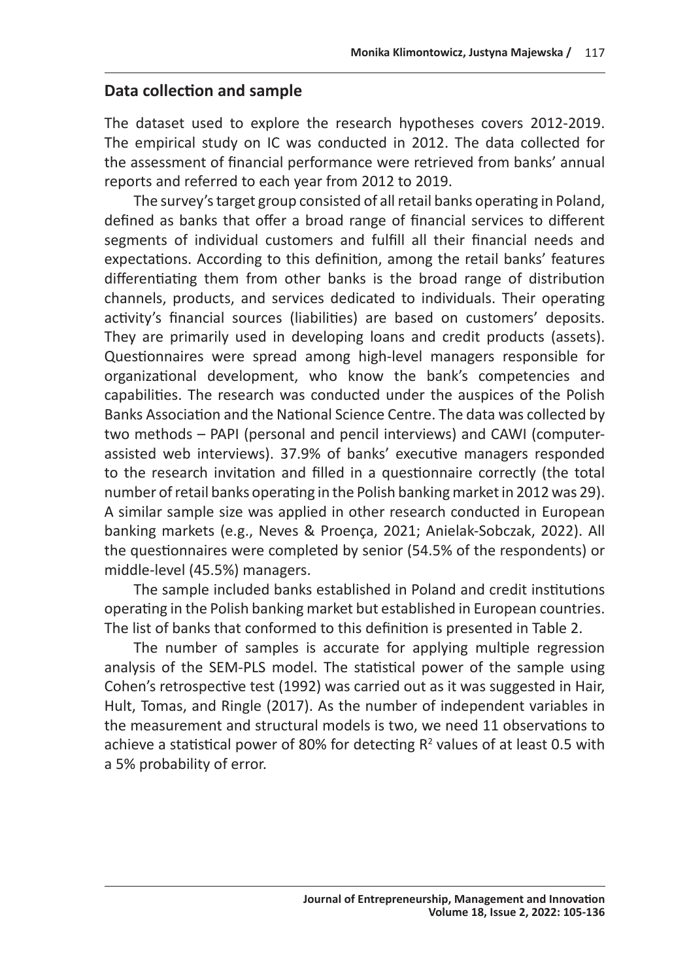# **Data collection and sample**

The dataset used to explore the research hypotheses covers 2012-2019. The empirical study on IC was conducted in 2012. The data collected for the assessment of financial performance were retrieved from banks' annual reports and referred to each year from 2012 to 2019.

The survey's target group consisted of all retail banks operating in Poland, defined as banks that offer a broad range of financial services to different segments of individual customers and fulfill all their financial needs and expectations. According to this definition, among the retail banks' features differentiating them from other banks is the broad range of distribution channels, products, and services dedicated to individuals. Their operating activity's financial sources (liabilities) are based on customers' deposits. They are primarily used in developing loans and credit products (assets). Questionnaires were spread among high-level managers responsible for organizational development, who know the bank's competencies and capabilities. The research was conducted under the auspices of the Polish Banks Association and the National Science Centre. The data was collected by two methods – PAPI (personal and pencil interviews) and CAWI (computerassisted web interviews). 37.9% of banks' executive managers responded to the research invitation and filled in a questionnaire correctly (the total number of retail banks operating in the Polish banking market in 2012 was 29). A similar sample size was applied in other research conducted in European banking markets (e.g., Neves & Proença, 2021; Anielak-Sobczak, 2022). All the questionnaires were completed by senior (54.5% of the respondents) or middle-level (45.5%) managers.

The sample included banks established in Poland and credit institutions operating in the Polish banking market but established in European countries. The list of banks that conformed to this definition is presented in Table 2.

The number of samples is accurate for applying multiple regression analysis of the SEM-PLS model. The statistical power of the sample using Cohen's retrospective test (1992) was carried out as it was suggested in Hair, Hult, Tomas, and Ringle (2017). As the number of independent variables in the measurement and structural models is two, we need 11 observations to achieve a statistical power of 80% for detecting  $R^2$  values of at least 0.5 with a 5% probability of error.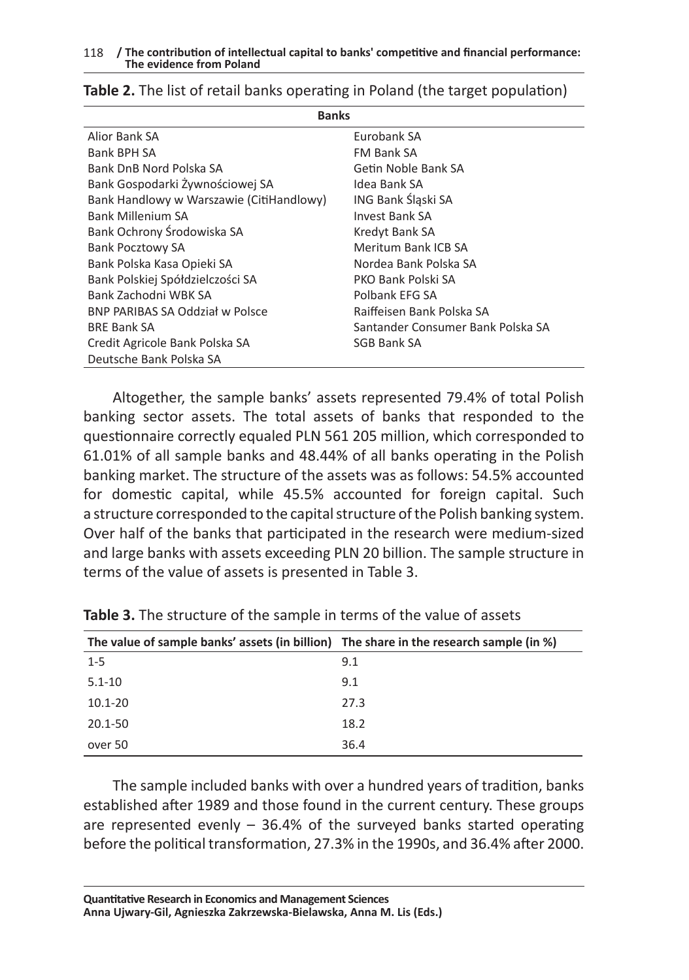| <b>Banks</b>                             |                                   |  |  |  |
|------------------------------------------|-----------------------------------|--|--|--|
| Alior Bank SA                            | Eurobank SA                       |  |  |  |
| Bank BPH SA                              | FM Bank SA                        |  |  |  |
| Bank DnB Nord Polska SA                  | Getin Noble Bank SA               |  |  |  |
| Bank Gospodarki Żywnościowej SA          | Idea Bank SA                      |  |  |  |
| Bank Handlowy w Warszawie (CitiHandlowy) | ING Bank Śląski SA                |  |  |  |
| Bank Millenium SA                        | Invest Bank SA                    |  |  |  |
| Bank Ochrony Środowiska SA               | Kredyt Bank SA                    |  |  |  |
| <b>Bank Pocztowy SA</b>                  | Meritum Bank ICB SA               |  |  |  |
| Bank Polska Kasa Opieki SA               | Nordea Bank Polska SA             |  |  |  |
| Bank Polskiej Spółdzielczości SA         | PKO Bank Polski SA                |  |  |  |
| Bank Zachodni WBK SA                     | Polbank EFG SA                    |  |  |  |
| <b>BNP PARIBAS SA Oddział w Polsce</b>   | Raiffeisen Bank Polska SA         |  |  |  |
| <b>BRE Bank SA</b>                       | Santander Consumer Bank Polska SA |  |  |  |
| Credit Agricole Bank Polska SA           | <b>SGB Bank SA</b>                |  |  |  |
| Deutsche Bank Polska SA                  |                                   |  |  |  |

### **Table 2.** The list of retail banks operating in Poland (the target population)

Altogether, the sample banks' assets represented 79.4% of total Polish banking sector assets. The total assets of banks that responded to the questionnaire correctly equaled PLN 561 205 million, which corresponded to 61.01% of all sample banks and 48.44% of all banks operating in the Polish banking market. The structure of the assets was as follows: 54.5% accounted for domestic capital, while 45.5% accounted for foreign capital. Such a structure corresponded to the capital structure of the Polish banking system. Over half of the banks that participated in the research were medium-sized and large banks with assets exceeding PLN 20 billion. The sample structure in terms of the value of assets is presented in Table 3.

| The value of sample banks' assets (in billion) The share in the research sample (in %) |      |
|----------------------------------------------------------------------------------------|------|
| $1 - 5$                                                                                | 9.1  |
| $5.1 - 10$                                                                             | 9.1  |
| $10.1 - 20$                                                                            | 27.3 |
| $20.1 - 50$                                                                            | 18.2 |
| over 50                                                                                | 36.4 |

**Table 3.** The structure of the sample in terms of the value of assets

The sample included banks with over a hundred years of tradition, banks established after 1989 and those found in the current century. These groups are represented evenly  $-36.4\%$  of the surveyed banks started operating before the political transformation, 27.3% in the 1990s, and 36.4% after 2000.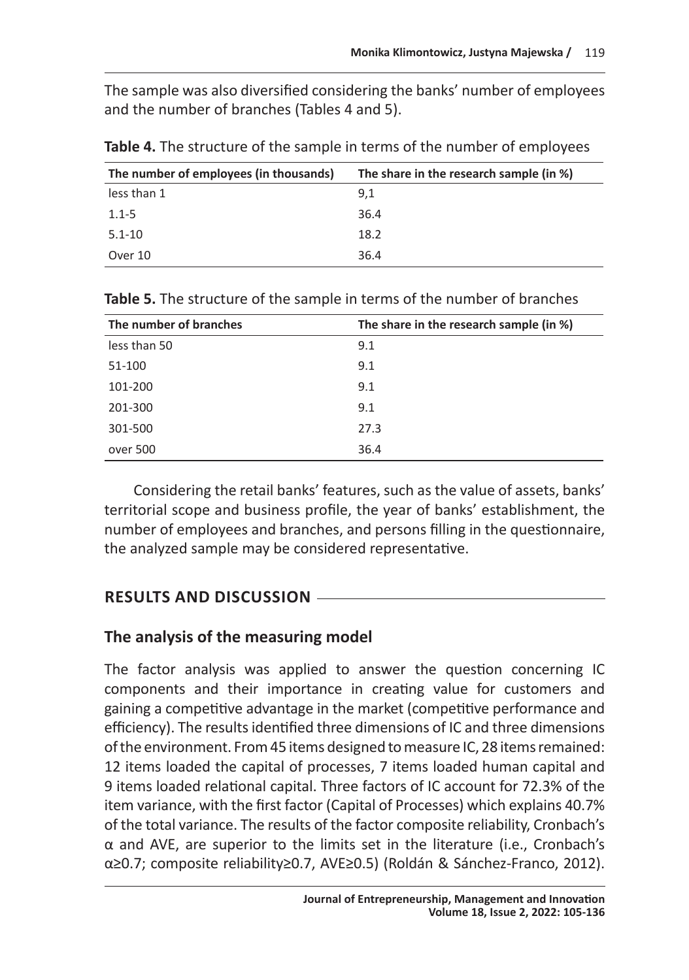The sample was also diversified considering the banks' number of employees and the number of branches (Tables 4 and 5).

| The number of employees (in thousands) | The share in the research sample (in %) |
|----------------------------------------|-----------------------------------------|
| less than 1                            | 9.1                                     |
| $1.1 - 5$                              | 36.4                                    |
| $5.1 - 10$                             | 18.2                                    |
| Over 10                                | 36.4                                    |

**Table 4.** The structure of the sample in terms of the number of employees

| The number of branches | The share in the research sample (in %) |
|------------------------|-----------------------------------------|
| less than 50           | 9.1                                     |
| 51-100                 | 9.1                                     |
| 101-200                | 9.1                                     |
| 201-300                | 9.1                                     |
| 301-500                | 27.3                                    |
| over 500               | 36.4                                    |

**Table 5.** The structure of the sample in terms of the number of branches

Considering the retail banks' features, such as the value of assets, banks' territorial scope and business profile, the year of banks' establishment, the number of employees and branches, and persons filling in the questionnaire, the analyzed sample may be considered representative.

# **RESULTS AND DISCUSSION**

# **The analysis of the measuring model**

The factor analysis was applied to answer the question concerning IC components and their importance in creating value for customers and gaining a competitive advantage in the market (competitive performance and efficiency). The results identified three dimensions of IC and three dimensions of the environment. From 45 items designed to measure IC, 28 items remained: 12 items loaded the capital of processes, 7 items loaded human capital and 9 items loaded relational capital. Three factors of IC account for 72.3% of the item variance, with the first factor (Capital of Processes) which explains 40.7% of the total variance. The results of the factor composite reliability, Cronbach's α and AVE, are superior to the limits set in the literature (i.e., Cronbach's α≥0.7; composite reliability≥0.7, AVE≥0.5) (Roldán & Sánchez-Franco, 2012).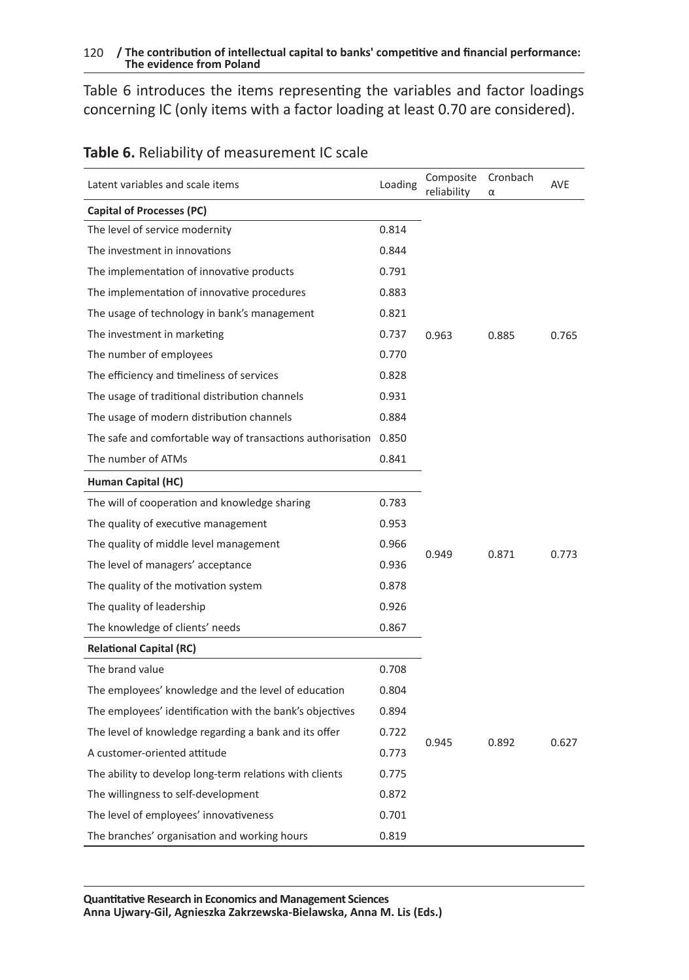Table 6 introduces the items representing the variables and factor loadings concerning IC (only items with a factor loading at least 0.70 are considered).

| Latent variables and scale items                                 | Loading | Composite<br>reliability | Cronbach<br>α | <b>AVE</b> |
|------------------------------------------------------------------|---------|--------------------------|---------------|------------|
| Capital of Processes (PC)                                        |         |                          |               |            |
| The level of service modernity                                   | 0.814   |                          |               |            |
| The investment in innovations                                    | 0.844   |                          |               |            |
| The implementation of innovative products                        | 0.791   |                          |               |            |
| The implementation of innovative procedures                      | 0.883   |                          |               |            |
| The usage of technology in bank's management                     | 0.821   |                          |               |            |
| The investment in marketing                                      | 0.737   | 0.963                    | 0.885         | 0.765      |
| The number of employees                                          | 0.770   |                          |               |            |
| The efficiency and timeliness of services                        | 0.828   |                          |               |            |
| The usage of traditional distribution channels                   | 0.931   |                          |               |            |
| The usage of modern distribution channels                        | 0.884   |                          |               |            |
| The safe and comfortable way of transactions authorisation 0.850 |         |                          |               |            |
| The number of ATMs                                               | 0.841   |                          |               |            |
| Human Capital (HC)                                               |         |                          |               |            |
| The will of cooperation and knowledge sharing                    | 0.783   |                          |               |            |
| The quality of executive management                              | 0.953   |                          |               |            |
| The quality of middle level management                           | 0.966   |                          |               |            |
| The level of managers' acceptance                                | 0.936   | 0.949                    | 0.871         | 0.773      |
| The quality of the motivation system                             | 0.878   |                          |               |            |
| The quality of leadership                                        | 0.926   |                          |               |            |
| The knowledge of clients' needs                                  | 0.867   |                          |               |            |
| <b>Relational Capital (RC)</b>                                   |         |                          |               |            |
| The brand value                                                  | 0.708   |                          |               |            |
| The employees' knowledge and the level of education              | 0.804   |                          |               |            |
| The employees' identification with the bank's objectives         | 0.894   |                          |               |            |
| The level of knowledge regarding a bank and its offer            | 0.722   |                          |               |            |
| A customer-oriented attitude                                     | 0.773   | 0.945                    | 0.892         | 0.627      |
| The ability to develop long-term relations with clients          | 0.775   |                          |               |            |
| The willingness to self-development                              | 0.872   |                          |               |            |
| The level of employees' innovativeness                           | 0.701   |                          |               |            |
| The branches' organisation and working hours                     | 0.819   |                          |               |            |

### **Table 6.** Reliability of measurement IC scale

**Quantitative Research in Economics and Management Sciences Anna Ujwary-Gil, Agnieszka Zakrzewska-Bielawska, Anna M. Lis (Eds.)**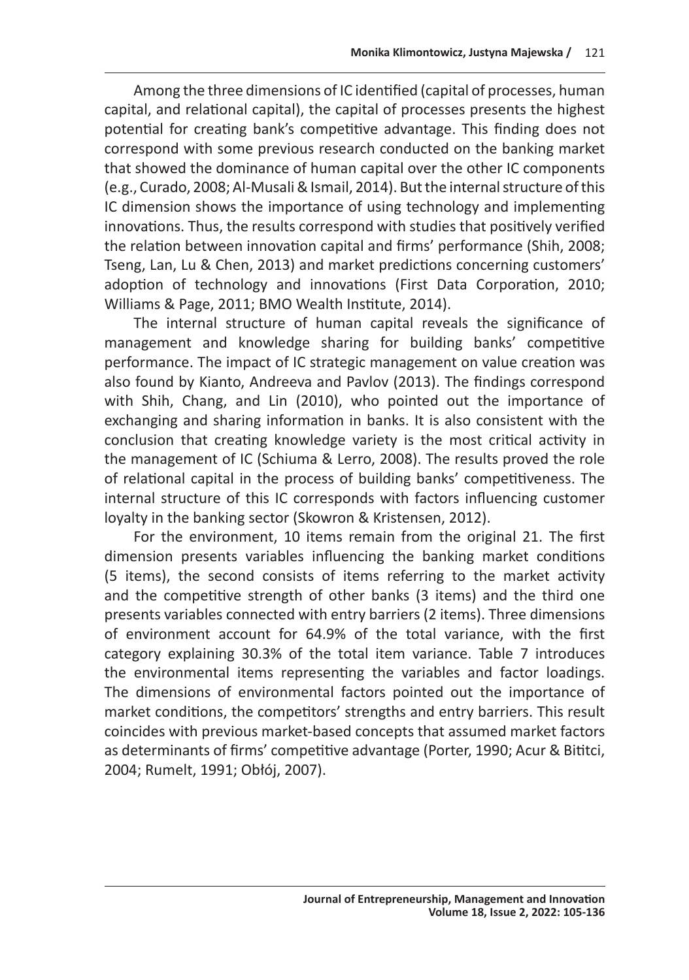Among the three dimensions of IC identified (capital of processes, human capital, and relational capital), the capital of processes presents the highest potential for creating bank's competitive advantage. This finding does not correspond with some previous research conducted on the banking market that showed the dominance of human capital over the other IC components (e.g., Curado, 2008; Al-Musali & Ismail, 2014). But the internal structure of this IC dimension shows the importance of using technology and implementing innovations. Thus, the results correspond with studies that positively verified the relation between innovation capital and firms' performance (Shih, 2008; Tseng, Lan, Lu & Chen, 2013) and market predictions concerning customers' adoption of technology and innovations (First Data Corporation, 2010; Williams & Page, 2011; BMO Wealth Institute, 2014).

The internal structure of human capital reveals the significance of management and knowledge sharing for building banks' competitive performance. The impact of IC strategic management on value creation was also found by Kianto, Andreeva and Pavlov (2013). The findings correspond with Shih, Chang, and Lin (2010), who pointed out the importance of exchanging and sharing information in banks. It is also consistent with the conclusion that creating knowledge variety is the most critical activity in the management of IC (Schiuma & Lerro, 2008). The results proved the role of relational capital in the process of building banks' competitiveness. The internal structure of this IC corresponds with factors influencing customer loyalty in the banking sector (Skowron & Kristensen, 2012).

For the environment, 10 items remain from the original 21. The first dimension presents variables influencing the banking market conditions (5 items), the second consists of items referring to the market activity and the competitive strength of other banks (3 items) and the third one presents variables connected with entry barriers (2 items). Three dimensions of environment account for 64.9% of the total variance, with the first category explaining 30.3% of the total item variance. Table 7 introduces the environmental items representing the variables and factor loadings. The dimensions of environmental factors pointed out the importance of market conditions, the competitors' strengths and entry barriers. This result coincides with previous market-based concepts that assumed market factors as determinants of firms' competitive advantage (Porter, 1990; Acur & Bititci, 2004; Rumelt, 1991; Obłój, 2007).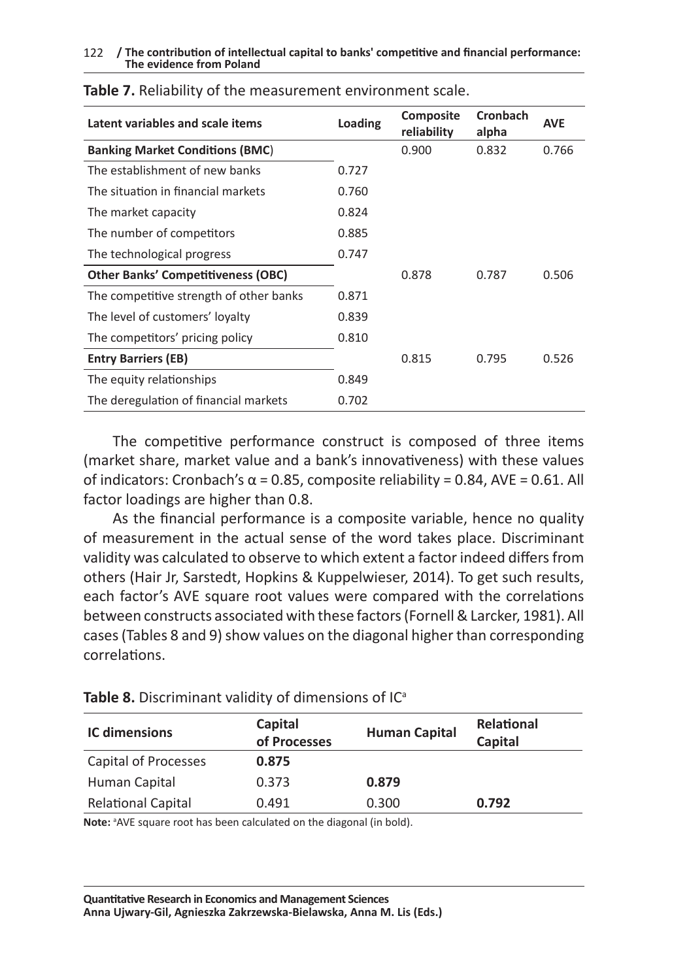| Latent variables and scale items          | Loading | Composite<br>reliability | Cronbach<br>alpha | <b>AVE</b> |
|-------------------------------------------|---------|--------------------------|-------------------|------------|
| <b>Banking Market Conditions (BMC)</b>    |         | 0.900                    | 0.832             | 0.766      |
| The establishment of new banks            | 0.727   |                          |                   |            |
| The situation in financial markets        | 0.760   |                          |                   |            |
| The market capacity                       | 0.824   |                          |                   |            |
| The number of competitors                 | 0.885   |                          |                   |            |
| The technological progress                | 0.747   |                          |                   |            |
| <b>Other Banks' Competitiveness (OBC)</b> |         | 0.878                    | 0.787             | 0.506      |
| The competitive strength of other banks   | 0.871   |                          |                   |            |
| The level of customers' loyalty           | 0.839   |                          |                   |            |
| The competitors' pricing policy           | 0.810   |                          |                   |            |
| <b>Entry Barriers (EB)</b>                |         | 0.815                    | 0.795             | 0.526      |
| The equity relationships                  | 0.849   |                          |                   |            |
| The deregulation of financial markets     | 0.702   |                          |                   |            |
|                                           |         |                          |                   |            |

#### **Table 7.** Reliability of the measurement environment scale.

The competitive performance construct is composed of three items (market share, market value and a bank's innovativeness) with these values of indicators: Cronbach's  $\alpha$  = 0.85, composite reliability = 0.84, AVE = 0.61. All factor loadings are higher than 0.8.

As the financial performance is a composite variable, hence no quality of measurement in the actual sense of the word takes place. Discriminant validity was calculated to observe to which extent a factor indeed differs from others (Hair Jr, Sarstedt, Hopkins & Kuppelwieser, 2014). To get such results, each factor's AVE square root values were compared with the correlations between constructs associated with these factors (Fornell & Larcker, 1981). All cases (Tables 8 and 9) show values on the diagonal higher than corresponding correlations.

| <b>IC dimensions</b>      | Capital<br>of Processes | <b>Human Capital</b> | <b>Relational</b><br>Capital |
|---------------------------|-------------------------|----------------------|------------------------------|
| Capital of Processes      | 0.875                   |                      |                              |
| Human Capital             | 0.373                   | 0.879                |                              |
| <b>Relational Capital</b> | 0.491                   | 0.300                | 0.792                        |

Table 8. Discriminant validity of dimensions of IC<sup>a</sup>

Note: <sup>a</sup>AVE square root has been calculated on the diagonal (in bold).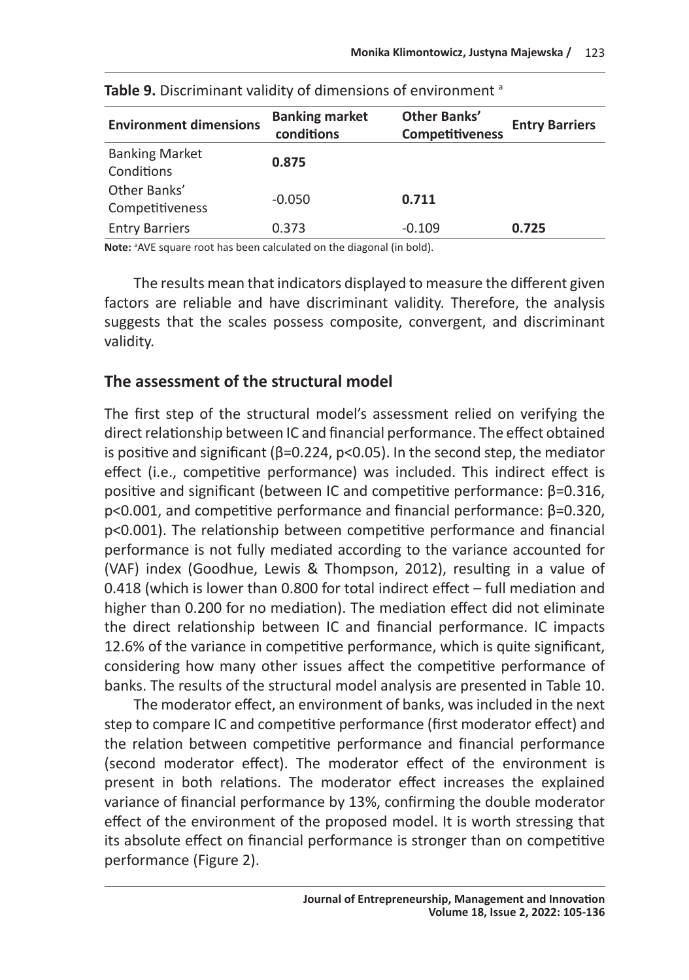| <b>Environment dimensions</b>       | <b>Banking market</b><br>conditions | Other Banks'<br><b>Competitiveness</b> | <b>Entry Barriers</b> |
|-------------------------------------|-------------------------------------|----------------------------------------|-----------------------|
| <b>Banking Market</b><br>Conditions | 0.875                               |                                        |                       |
| Other Banks'<br>Competitiveness     | $-0.050$                            | 0.711                                  |                       |
| <b>Entry Barriers</b>               | 0.373                               | $-0.109$                               | 0.725                 |

Note: <sup>a</sup> AVE square root has been calculated on the diagonal (in bold).

The results mean that indicators displayed to measure the different given factors are reliable and have discriminant validity. Therefore, the analysis suggests that the scales possess composite, convergent, and discriminant validity.

### **The assessment of the structural model**

The first step of the structural model's assessment relied on verifying the direct relationship between IC and financial performance. The effect obtained is positive and significant ( $\beta$ =0.224, p<0.05). In the second step, the mediator effect (i.e., competitive performance) was included. This indirect effect is positive and significant (between IC and competitive performance: β=0.316, p<0.001, and competitive performance and financial performance: β=0.320, p<0.001). The relationship between competitive performance and financial performance is not fully mediated according to the variance accounted for (VAF) index (Goodhue, Lewis & Thompson, 2012), resulting in a value of 0.418 (which is lower than 0.800 for total indirect effect – full mediation and higher than 0.200 for no mediation). The mediation effect did not eliminate the direct relationship between IC and financial performance. IC impacts 12.6% of the variance in competitive performance, which is quite significant, considering how many other issues affect the competitive performance of banks. The results of the structural model analysis are presented in Table 10.

The moderator effect, an environment of banks, was included in the next step to compare IC and competitive performance (first moderator effect) and the relation between competitive performance and financial performance (second moderator effect). The moderator effect of the environment is present in both relations. The moderator effect increases the explained variance of financial performance by 13%, confirming the double moderator effect of the environment of the proposed model. It is worth stressing that its absolute effect on financial performance is stronger than on competitive performance (Figure 2).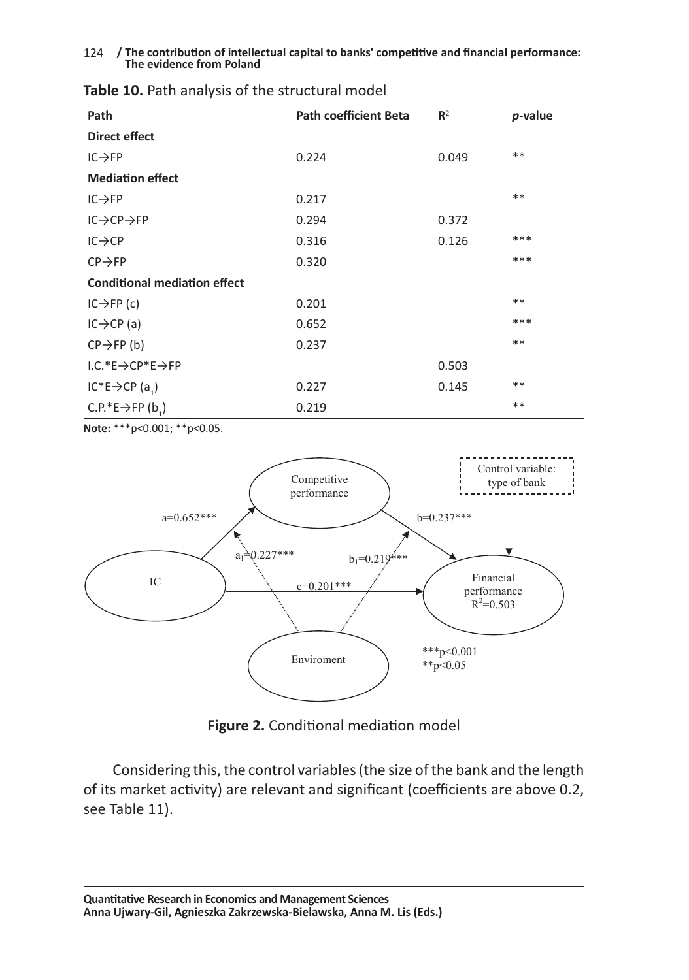| Path                                      | <b>Path coefficient Beta</b> | $\mathbb{R}^2$ | p-value |
|-------------------------------------------|------------------------------|----------------|---------|
| Direct effect                             |                              |                |         |
| $IC \rightarrow FP$                       | 0.224                        | 0.049          | **      |
| <b>Mediation effect</b>                   |                              |                |         |
| $IC \rightarrow FP$                       | 0.217                        |                | **      |
| $IC \rightarrow CP \rightarrow FP$        | 0.294                        | 0.372          |         |
| $IC \rightarrow CP$                       | 0.316                        | 0.126          | ***     |
| $CP \rightarrow FP$                       | 0.320                        |                | ***     |
| <b>Conditional mediation effect</b>       |                              |                |         |
| $IC \rightarrow FP$ (c)                   | 0.201                        |                | **      |
| $IC \rightarrow CP$ (a)                   | 0.652                        |                | ***     |
| $CP \rightarrow FP(b)$                    | 0.237                        |                | **      |
| $1.C.*E \rightarrow CP*E \rightarrow FP$  |                              | 0.503          |         |
| $IC^*E \rightarrow CP(a_1)$               | 0.227                        | 0.145          | **      |
| C.P.*E $\rightarrow$ FP (b <sub>1</sub> ) | 0.219                        |                | **      |

### **Table 10.** Path analysis of the structural model

**Note:** \*\*\*p<0.001; \*\*p<0.05.



**Figure 2.** Conditional mediation model

Considering this, the control variables (the size of the bank and the length of its market activity) are relevant and significant (coefficients are above 0.2, see Table 11).

**Quantitative Research in Economics and Management Sciences Anna Ujwary-Gil, Agnieszka Zakrzewska-Bielawska, Anna M. Lis (Eds.)**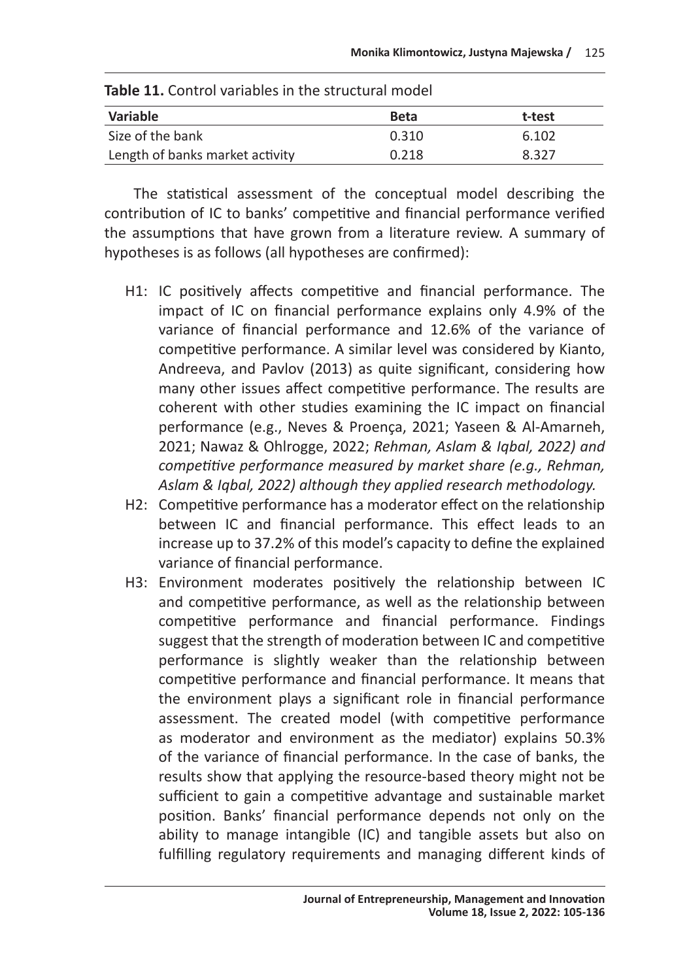| <b>IQDIC 11.</b> CONTROL VALIQUICS IN THE STRUCTURE INDUCT |             |        |  |
|------------------------------------------------------------|-------------|--------|--|
| Variable                                                   | <b>Beta</b> | t-test |  |
| Size of the bank                                           | 0.310       | 6.102  |  |
| Length of banks market activity                            | 0.218       | 8.327  |  |

| Table 11. Control variables in the structural model |  |
|-----------------------------------------------------|--|
|-----------------------------------------------------|--|

The statistical assessment of the conceptual model describing the contribution of IC to banks' competitive and financial performance verified the assumptions that have grown from a literature review. A summary of hypotheses is as follows (all hypotheses are confirmed):

- H1: IC positively affects competitive and financial performance. The impact of IC on financial performance explains only 4.9% of the variance of financial performance and 12.6% of the variance of competitive performance. A similar level was considered by Kianto, Andreeva, and Pavlov (2013) as quite significant, considering how many other issues affect competitive performance. The results are coherent with other studies examining the IC impact on financial performance (e.g., Neves & Proença, 2021; Yaseen & Al-Amarneh, 2021; Nawaz & Ohlrogge, 2022; *Rehman, Aslam & Iqbal, 2022) and competitive performance measured by market share (e.g., Rehman, Aslam & Iqbal, 2022) although they applied research methodology.*
- H2: Competitive performance has a moderator effect on the relationship between IC and financial performance. This effect leads to an increase up to 37.2% of this model's capacity to define the explained variance of financial performance.
- H3: Environment moderates positively the relationship between IC and competitive performance, as well as the relationship between competitive performance and financial performance. Findings suggest that the strength of moderation between IC and competitive performance is slightly weaker than the relationship between competitive performance and financial performance. It means that the environment plays a significant role in financial performance assessment. The created model (with competitive performance as moderator and environment as the mediator) explains 50.3% of the variance of financial performance. In the case of banks, the results show that applying the resource-based theory might not be sufficient to gain a competitive advantage and sustainable market position. Banks' financial performance depends not only on the ability to manage intangible (IC) and tangible assets but also on fulfilling regulatory requirements and managing different kinds of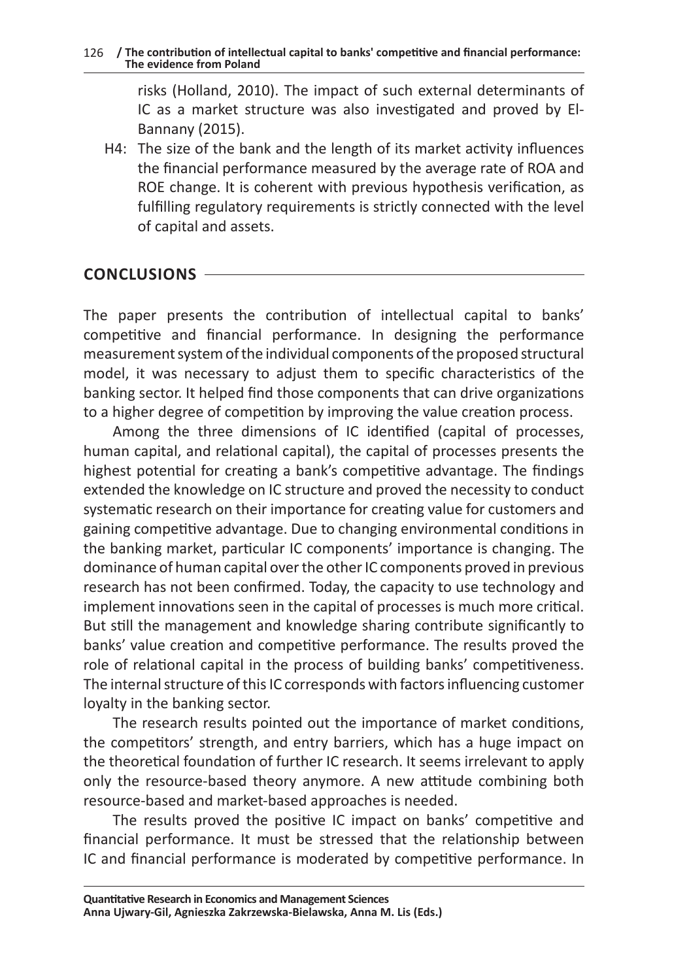risks (Holland, 2010). The impact of such external determinants of IC as a market structure was also investigated and proved by El-Bannany (2015).

H4: The size of the bank and the length of its market activity influences the financial performance measured by the average rate of ROA and ROE change. It is coherent with previous hypothesis verification, as fulfilling regulatory requirements is strictly connected with the level of capital and assets.

# **CONCLUSIONS**

The paper presents the contribution of intellectual capital to banks' competitive and financial performance. In designing the performance measurement system of the individual components of the proposed structural model, it was necessary to adjust them to specific characteristics of the banking sector. It helped find those components that can drive organizations to a higher degree of competition by improving the value creation process.

Among the three dimensions of IC identified (capital of processes, human capital, and relational capital), the capital of processes presents the highest potential for creating a bank's competitive advantage. The findings extended the knowledge on IC structure and proved the necessity to conduct systematic research on their importance for creating value for customers and gaining competitive advantage. Due to changing environmental conditions in the banking market, particular IC components' importance is changing. The dominance of human capital over the other IC components proved in previous research has not been confirmed. Today, the capacity to use technology and implement innovations seen in the capital of processes is much more critical. But still the management and knowledge sharing contribute significantly to banks' value creation and competitive performance. The results proved the role of relational capital in the process of building banks' competitiveness. The internal structure of this IC corresponds with factors influencing customer loyalty in the banking sector.

The research results pointed out the importance of market conditions, the competitors' strength, and entry barriers, which has a huge impact on the theoretical foundation of further IC research. It seems irrelevant to apply only the resource-based theory anymore. A new attitude combining both resource-based and market-based approaches is needed.

The results proved the positive IC impact on banks' competitive and financial performance. It must be stressed that the relationship between IC and financial performance is moderated by competitive performance. In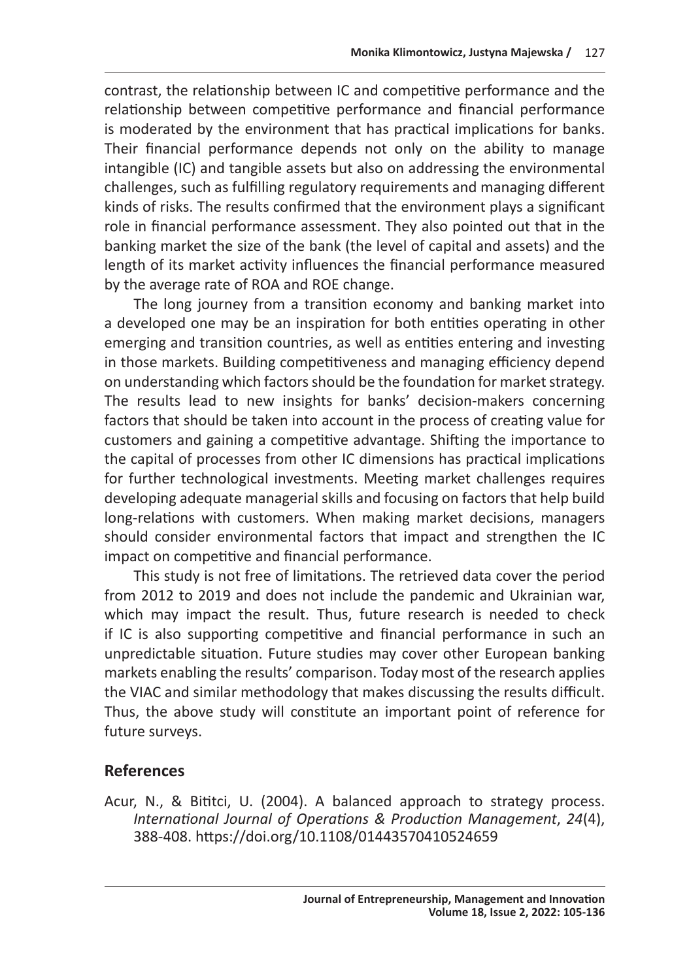contrast, the relationship between IC and competitive performance and the relationship between competitive performance and financial performance is moderated by the environment that has practical implications for banks. Their financial performance depends not only on the ability to manage intangible (IC) and tangible assets but also on addressing the environmental challenges, such as fulfilling regulatory requirements and managing different kinds of risks. The results confirmed that the environment plays a significant role in financial performance assessment. They also pointed out that in the banking market the size of the bank (the level of capital and assets) and the length of its market activity influences the financial performance measured by the average rate of ROA and ROE change.

The long journey from a transition economy and banking market into a developed one may be an inspiration for both entities operating in other emerging and transition countries, as well as entities entering and investing in those markets. Building competitiveness and managing efficiency depend on understanding which factors should be the foundation for market strategy. The results lead to new insights for banks' decision-makers concerning factors that should be taken into account in the process of creating value for customers and gaining a competitive advantage. Shifting the importance to the capital of processes from other IC dimensions has practical implications for further technological investments. Meeting market challenges requires developing adequate managerial skills and focusing on factors that help build long-relations with customers. When making market decisions, managers should consider environmental factors that impact and strengthen the IC impact on competitive and financial performance.

This study is not free of limitations. The retrieved data cover the period from 2012 to 2019 and does not include the pandemic and Ukrainian war, which may impact the result. Thus, future research is needed to check if IC is also supporting competitive and financial performance in such an unpredictable situation. Future studies may cover other European banking markets enabling the results' comparison. Today most of the research applies the VIAC and similar methodology that makes discussing the results difficult. Thus, the above study will constitute an important point of reference for future surveys.

# **References**

Acur, N., & Bititci, U. (2004). A balanced approach to strategy process. *International Journal of Operations & Production Management*, *24*(4), 388-408. https://doi.org/10.1108/01443570410524659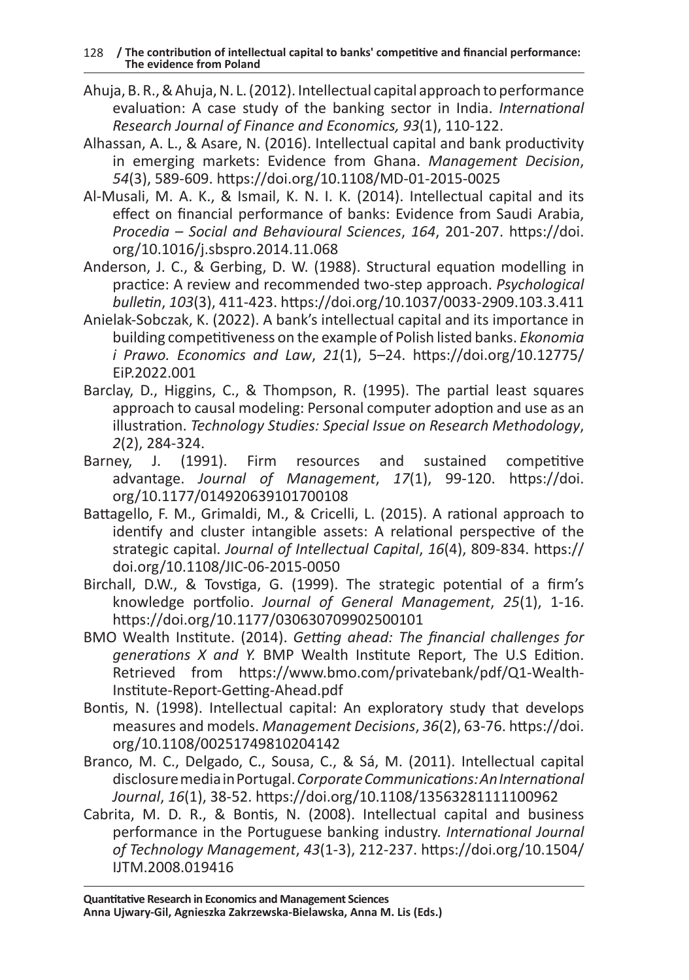- Ahuja, B. R., & Ahuja, N. L. (2012). Intellectual capital approach to performance evaluation: A case study of the banking sector in India. *International Research Journal of Finance and Economics, 93*(1), 110-122.
- Alhassan, A. L., & Asare, N. (2016). Intellectual capital and bank productivity in emerging markets: Evidence from Ghana. *Management Decision*, *54*(3), 589-609. https://doi.org/10.1108/MD-01-2015-0025
- Al-Musali, M. A. K., & Ismail, K. N. I. K. (2014). Intellectual capital and its effect on financial performance of banks: Evidence from Saudi Arabia, *Procedia – Social and Behavioural Sciences*, *164*, 201-207. https://doi. org/10.1016/j.sbspro.2014.11.068
- Anderson, J. C., & Gerbing, D. W. (1988). Structural equation modelling in practice: A review and recommended two-step approach. *Psychological bulletin*, *103*(3), 411-423. https://doi.org/10.1037/0033-2909.103.3.411
- Anielak-Sobczak, K. (2022). A bank's intellectual capital and its importance in building competitiveness on the example of Polish listed banks. *Ekonomia i Prawo. Economics and Law*, *21*(1), 5–24. https://doi.org/10.12775/ EiP.2022.001
- Barclay, D., Higgins, C., & Thompson, R. (1995). The partial least squares approach to causal modeling: Personal computer adoption and use as an illustration. *Technology Studies: Special Issue on Research Methodology*, *2*(2), 284-324.
- Barney, J. (1991). Firm resources and sustained competitive advantage. *Journal of Management*, *17*(1), 99-120. https://doi. org/10.1177/014920639101700108
- Battagello, F. M., Grimaldi, M., & Cricelli, L. (2015). A rational approach to identify and cluster intangible assets: A relational perspective of the strategic capital. *Journal of Intellectual Capital*, *16*(4), 809-834. https:// doi.org/10.1108/JIC-06-2015-0050
- Birchall, D.W., & Tovstiga, G. (1999). The strategic potential of a firm's knowledge portfolio. *Journal of General Management*, *25*(1), 1-16. https://doi.org/10.1177/030630709902500101
- BMO Wealth Institute. (2014). *Getting ahead: The financial challenges for generations X and Y.* BMP Wealth Institute Report, The U.S Edition. Retrieved from https://www.bmo.com/privatebank/pdf/Q1-Wealth-Institute-Report-Getting-Ahead.pdf
- Bontis, N. (1998). Intellectual capital: An exploratory study that develops measures and models. *Management Decisions*, *36*(2), 63-76. https://doi. org/10.1108/00251749810204142
- Branco, M. C., Delgado, C., Sousa, C., & Sá, M. (2011). Intellectual capital disclosure media in Portugal. *Corporate Communications: An International Journal*, *16*(1), 38-52. https://doi.org/10.1108/13563281111100962
- Cabrita, M. D. R., & Bontis, N. (2008). Intellectual capital and business performance in the Portuguese banking industry. *International Journal of Technology Management*, *43*(1-3), 212-237. https://doi.org/10.1504/ IJTM.2008.019416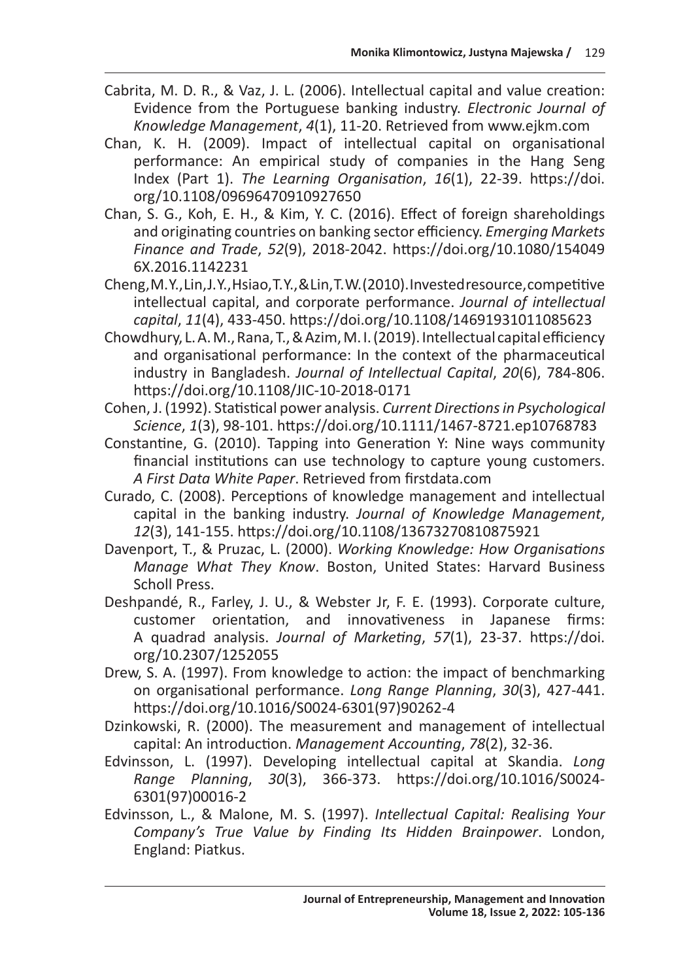- Cabrita, M. D. R., & Vaz, J. L. (2006). Intellectual capital and value creation: Evidence from the Portuguese banking industry. *Electronic Journal of Knowledge Management*, *4*(1), 11-20. Retrieved from www.ejkm.com
- Chan, K. H. (2009). Impact of intellectual capital on organisational performance: An empirical study of companies in the Hang Seng Index (Part 1). *The Learning Organisation*, *16*(1), 22-39. https://doi. org/10.1108/09696470910927650
- Chan, S. G., Koh, E. H., & Kim, Y. C. (2016). Effect of foreign shareholdings and originating countries on banking sector efficiency. *Emerging Markets Finance and Trade*, *52*(9), 2018-2042. https://doi.org/10.1080/154049 6X.2016.1142231
- Cheng, M. Y., Lin, J. Y., Hsiao, T. Y., & Lin, T. W. (2010). Invested resource, competitive intellectual capital, and corporate performance. *Journal of intellectual capital*, *11*(4), 433-450. https://doi.org/10.1108/14691931011085623
- Chowdhury, L. A. M., Rana, T., & Azim, M. I. (2019). Intellectual capital efficiency and organisational performance: In the context of the pharmaceutical industry in Bangladesh. *Journal of Intellectual Capital*, *20*(6), 784-806. https://doi.org/10.1108/JIC-10-2018-0171
- Cohen, J. (1992). Statistical power analysis. *Current Directions in Psychological Science*, *1*(3), 98-101. https://doi.org/10.1111/1467-8721.ep10768783
- Constantine, G. (2010). Tapping into Generation Y: Nine ways community financial institutions can use technology to capture young customers. *A First Data White Paper*. Retrieved from firstdata.com
- Curado, C. (2008). Perceptions of knowledge management and intellectual capital in the banking industry. *Journal of Knowledge Management*, *12*(3), 141-155. https://doi.org/10.1108/13673270810875921
- Davenport, T., & Pruzac, L. (2000). *Working Knowledge: How Organisations Manage What They Know*. Boston, United States: Harvard Business Scholl Press.
- Deshpandé, R., Farley, J. U., & Webster Jr, F. E. (1993). Corporate culture, customer orientation, and innovativeness in Japanese firms: A quadrad analysis. *Journal of Marketing*, *57*(1), 23-37. https://doi. org/10.2307/1252055
- Drew, S. A. (1997). From knowledge to action: the impact of benchmarking on organisational performance. *Long Range Planning*, *30*(3), 427-441. https://doi.org/10.1016/S0024-6301(97)90262-4
- Dzinkowski, R. (2000). The measurement and management of intellectual capital: An introduction. *Management Accounting*, *78*(2), 32-36.
- Edvinsson, L. (1997). Developing intellectual capital at Skandia. *Long Range Planning*, *30*(3), 366-373. https://doi.org/10.1016/S0024- 6301(97)00016-2
- Edvinsson, L., & Malone, M. S. (1997). *Intellectual Capital: Realising Your Company's True Value by Finding Its Hidden Brainpower*. London, England: Piatkus.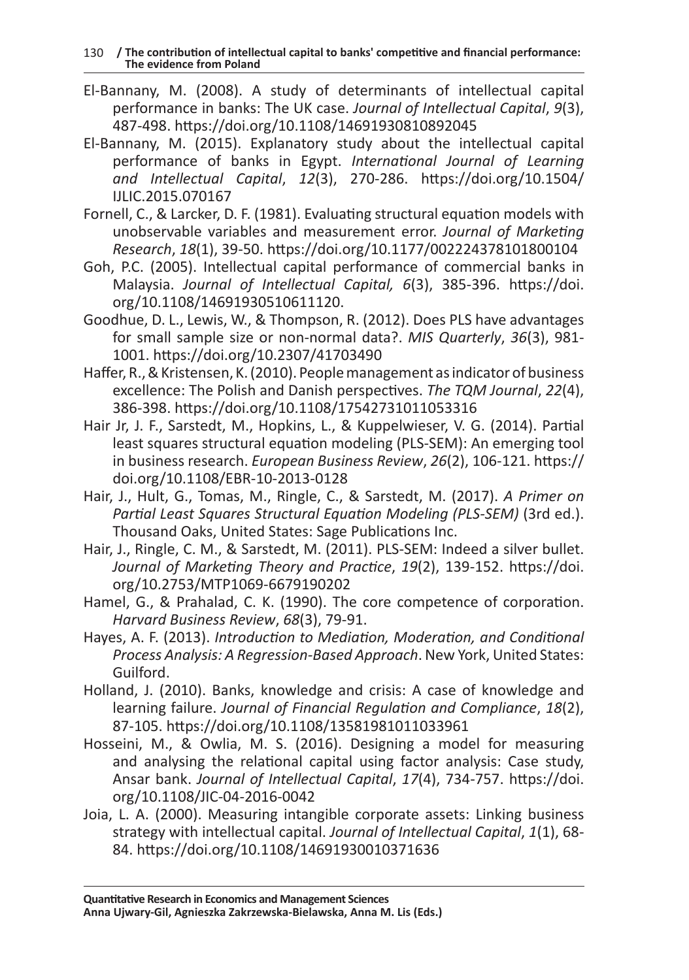130 **/ The contribution of intellectual capital to banks' competitive and financial performance: The evidence from Poland**

- El‐Bannany, M. (2008). A study of determinants of intellectual capital performance in banks: The UK case. *Journal of Intellectual Capital*, *9*(3), 487-498. https://doi.org/10.1108/14691930810892045
- El-Bannany, M. (2015). Explanatory study about the intellectual capital performance of banks in Egypt. *International Journal of Learning and Intellectual Capital*, *12*(3), 270-286. https://doi.org/10.1504/ IJLIC.2015.070167
- Fornell, C., & Larcker, D. F. (1981). Evaluating structural equation models with unobservable variables and measurement error. *Journal of Marketing Research*, *18*(1), 39-50. https://doi.org/10.1177/002224378101800104
- Goh, P.C. (2005). Intellectual capital performance of commercial banks in Malaysia. *Journal of Intellectual Capital, 6*(3), 385-396. https://doi. org/10.1108/14691930510611120.
- Goodhue, D. L., Lewis, W., & Thompson, R. (2012). Does PLS have advantages for small sample size or non-normal data?. *MIS Quarterly*, *36*(3), 981- 1001. https://doi.org/10.2307/41703490
- Haffer, R., & Kristensen, K. (2010). People management as indicator of business excellence: The Polish and Danish perspectives. *The TQM Journal*, *22*(4), 386-398. https://doi.org/10.1108/17542731011053316
- Hair Jr, J. F., Sarstedt, M., Hopkins, L., & Kuppelwieser, V. G. (2014). Partial least squares structural equation modeling (PLS-SEM): An emerging tool in business research. *European Business Review*, *26*(2), 106-121. https:// doi.org/10.1108/EBR-10-2013-0128
- Hair, J., Hult, G., Tomas, M., Ringle, C., & Sarstedt, M. (2017). *A Primer on Partial Least Squares Structural Equation Modeling (PLS-SEM)* (3rd ed.). Thousand Oaks, United States: Sage Publications Inc.
- Hair, J., Ringle, C. M., & Sarstedt, M. (2011). PLS-SEM: Indeed a silver bullet. *Journal of Marketing Theory and Practice*, *19*(2), 139-152. https://doi. org/10.2753/MTP1069-6679190202
- Hamel, G., & Prahalad, C. K. (1990). The core competence of corporation. *Harvard Business Review*, *68*(3), 79-91.
- Hayes, A. F. (2013). *Introduction to Mediation, Moderation, and Conditional Process Analysis: A Regression-Based Approach*. New York, United States: Guilford.
- Holland, J. (2010). Banks, knowledge and crisis: A case of knowledge and learning failure. *Journal of Financial Regulation and Compliance*, *18*(2), 87-105. https://doi.org/10.1108/13581981011033961
- Hosseini, M., & Owlia, M. S. (2016). Designing a model for measuring and analysing the relational capital using factor analysis: Case study, Ansar bank. *Journal of Intellectual Capital*, *17*(4), 734-757. https://doi. org/10.1108/JIC-04-2016-0042
- Joia, L. A. (2000). Measuring intangible corporate assets: Linking business strategy with intellectual capital. *Journal of Intellectual Capital*, *1*(1), 68- 84. https://doi.org/10.1108/14691930010371636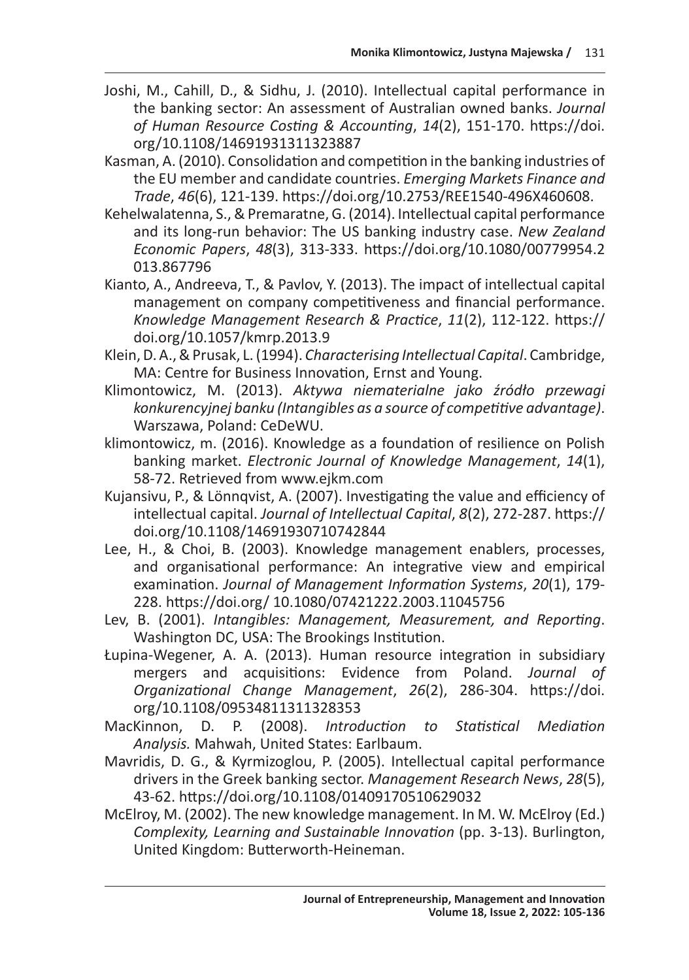- Joshi, M., Cahill, D., & Sidhu, J. (2010). Intellectual capital performance in the banking sector: An assessment of Australian owned banks. *Journal of Human Resource Costing & Accounting*, *14*(2), 151-170. https://doi. org/10.1108/14691931311323887
- Kasman, A. (2010). Consolidation and competition in the banking industries of the EU member and candidate countries. *Emerging Markets Finance and Trade*, *46*(6), 121-139. https://doi.org/10.2753/REE1540-496X460608.
- Kehelwalatenna, S., & Premaratne, G. (2014). Intellectual capital performance and its long-run behavior: The US banking industry case. *New Zealand Economic Papers*, *48*(3), 313-333. https://doi.org/10.1080/00779954.2 013.867796
- Kianto, A., Andreeva, T., & Pavlov, Y. (2013). The impact of intellectual capital management on company competitiveness and financial performance. *Knowledge Management Research & Practice*, *11*(2), 112-122. https:// doi.org/10.1057/kmrp.2013.9
- Klein, D. A., & Prusak, L. (1994). *Characterising Intellectual Capital*. Cambridge, MA: Centre for Business Innovation, Ernst and Young.
- Klimontowicz, M. (2013). *Aktywa niematerialne jako źródło przewagi konkurencyjnej banku (Intangibles as a source of competitive advantage)*. Warszawa, Poland: CeDeWU.
- klimontowicz, m. (2016). Knowledge as a foundation of resilience on Polish banking market. *Electronic Journal of Knowledge Management*, *14*(1), 58-72. Retrieved from www.ejkm.com
- Kujansivu, P., & Lönnqvist, A. (2007). Investigating the value and efficiency of intellectual capital. *Journal of Intellectual Capital*, *8*(2), 272-287. https:// doi.org/10.1108/14691930710742844
- Lee, H., & Choi, B. (2003). Knowledge management enablers, processes, and organisational performance: An integrative view and empirical examination. *Journal of Management Information Systems*, *20*(1), 179- 228. https://doi.org/ 10.1080/07421222.2003.11045756
- Lev, B. (2001). *Intangibles: Management, Measurement, and Reporting*. Washington DC, USA: The Brookings Institution.
- Łupina‐Wegener, A. A. (2013). Human resource integration in subsidiary mergers and acquisitions: Evidence from Poland. *Journal of Organizational Change Management*, *26*(2), 286-304. https://doi. org/10.1108/09534811311328353
- MacKinnon, D. P. (2008). *Introduction to Statistical Mediation Analysis.* Mahwah, United States: Earlbaum.
- Mavridis, D. G., & Kyrmizoglou, P. (2005). Intellectual capital performance drivers in the Greek banking sector. *Management Research News*, *28*(5), 43-62. https://doi.org/10.1108/01409170510629032
- McElroy, M. (2002). The new knowledge management. In M. W. McElroy (Ed.) *Complexity, Learning and Sustainable Innovation* (pp. 3-13). Burlington, United Kingdom: Butterworth-Heineman.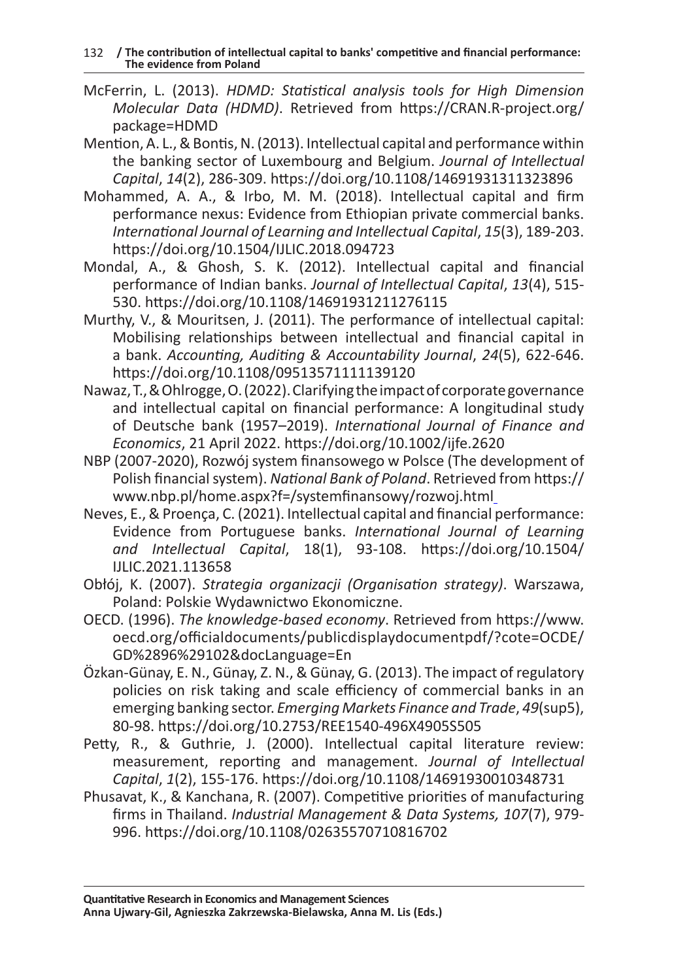- McFerrin, L. (2013). *HDMD: Statistical analysis tools for High Dimension Molecular Data (HDMD)*. Retrieved from https://CRAN.R-project.org/ package=HDMD
- Mention, A. L., & Bontis, N. (2013). Intellectual capital and performance within the banking sector of Luxembourg and Belgium. *Journal of Intellectual Capital*, *14*(2), 286-309. https://doi.org/10.1108/14691931311323896
- Mohammed, A. A., & Irbo, M. M. (2018). Intellectual capital and firm performance nexus: Evidence from Ethiopian private commercial banks. *International Journal of Learning and Intellectual Capital*, *15*(3), 189-203. https://doi.org/10.1504/IJLIC.2018.094723
- Mondal, A., & Ghosh, S. K. (2012). Intellectual capital and financial performance of Indian banks. *Journal of Intellectual Capital*, *13*(4), 515- 530. https://doi.org/10.1108/14691931211276115
- Murthy, V., & Mouritsen, J. (2011). The performance of intellectual capital: Mobilising relationships between intellectual and financial capital in a bank. *Accounting, Auditing & Accountability Journal*, *24*(5), 622-646. https://doi.org/10.1108/09513571111139120
- Nawaz, T., & Ohlrogge, O. (2022). Clarifying the impact of corporate governance and intellectual capital on financial performance: A longitudinal study of Deutsche bank (1957–2019). *International Journal of Finance and Economics*, 21 April 2022. https://doi.org/10.1002/ijfe.2620
- NBP (2007-2020), Rozwój system finansowego w Polsce (The development of Polish financial system). *National Bank of Poland*. Retrieved from https:// www.nbp.pl/home.aspx?f=/systemfinansowy/rozwoj.html
- Neves, E., & Proença, C. (2021). Intellectual capital and financial performance: Evidence from Portuguese banks. *International Journal of Learning and Intellectual Capital*, 18(1), 93-108. https://doi.org/10.1504/ IJLIC.2021.113658
- Obłój, K. (2007). *Strategia organizacji (Organisation strategy)*. Warszawa, Poland: Polskie Wydawnictwo Ekonomiczne.
- OECD. (1996). *The knowledge-based economy*. Retrieved from https://www. oecd.org/officialdocuments/publicdisplaydocumentpdf/?cote=OCDE/ GD%2896%29102&docLanguage=En
- Özkan-Günay, E. N., Günay, Z. N., & Günay, G. (2013). The impact of regulatory policies on risk taking and scale efficiency of commercial banks in an emerging banking sector. *Emerging Markets Finance and Trade*, *49*(sup5), 80-98. https://doi.org/10.2753/REE1540-496X4905S505
- Petty, R., & Guthrie, J. (2000). Intellectual capital literature review: measurement, reporting and management. *Journal of Intellectual Capital*, *1*(2), 155-176. https://doi.org/10.1108/14691930010348731
- Phusavat, K., & Kanchana, R. (2007). Competitive priorities of manufacturing firms in Thailand. *Industrial Management & Data Systems, 107*(7), 979- 996. https://doi.org/10.1108/02635570710816702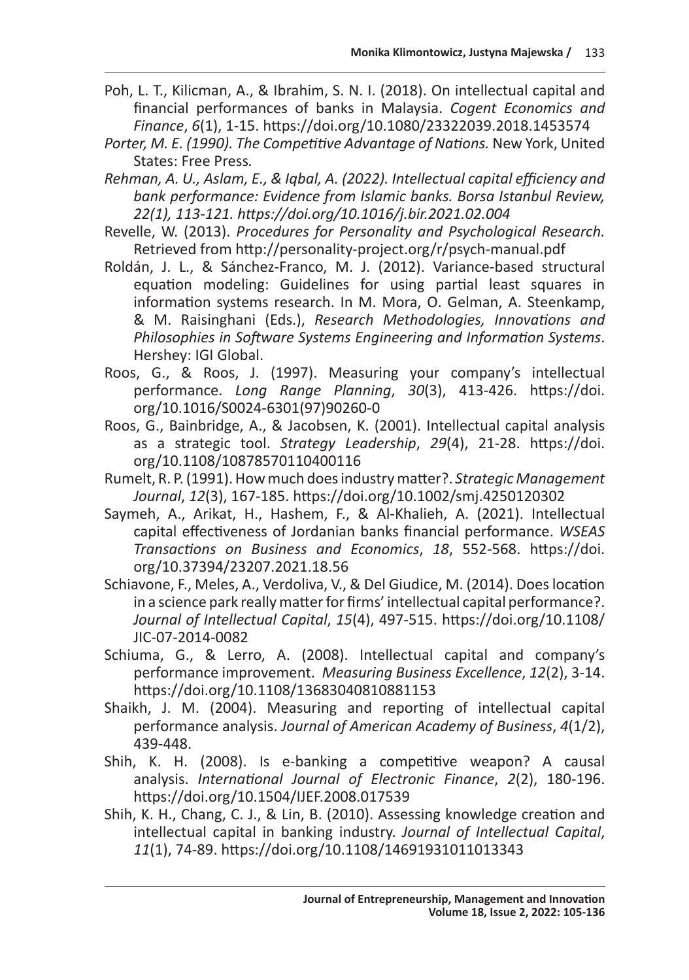- Poh, L. T., Kilicman, A., & Ibrahim, S. N. I. (2018). On intellectual capital and financial performances of banks in Malaysia. *Cogent Economics and Finance*, *6*(1), 1-15. https://doi.org/10.1080/23322039.2018.1453574
- Porter, M. E. (1990). The Competitive Advantage of Nations. New York, United States: Free Press*.*
- *Rehman, A. U., Aslam, E., & Iqbal, A. (2022). Intellectual capital efficiency and bank performance: Evidence from Islamic banks. Borsa Istanbul Review, 22(1), 113-121. https://doi.org/10.1016/j.bir.2021.02.004*
- Revelle, W. (2013). *Procedures for Personality and Psychological Research.*  Retrieved from http://personality-project.org/r/psych-manual.pdf
- Roldán, J. L., & Sánchez-Franco, M. J. (2012). Variance-based structural equation modeling: Guidelines for using partial least squares in information systems research. In M. Mora, O. Gelman, A. Steenkamp, & M. Raisinghani (Eds.), *Research Methodologies, Innovations and Philosophies in Software Systems Engineering and Information Systems*. Hershey: IGI Global.
- Roos, G., & Roos, J. (1997). Measuring your company's intellectual performance. *Long Range Planning*, *30*(3), 413-426. https://doi. org/10.1016/S0024-6301(97)90260-0
- Roos, G., Bainbridge, A., & Jacobsen, K. (2001). Intellectual capital analysis as a strategic tool. *Strategy Leadership*, *29*(4), 21-28. https://doi. org/10.1108/10878570110400116
- Rumelt, R. P. (1991). How much does industry matter?. *Strategic Management Journal*, *12*(3), 167-185. https://doi.org/10.1002/smj.4250120302
- Saymeh, A., Arikat, H., Hashem, F., & Al-Khalieh, A. (2021). Intellectual capital effectiveness of Jordanian banks financial performance. *WSEAS Transactions on Business and Economics*, *18*, 552-568. https://doi. org/10.37394/23207.2021.18.56
- Schiavone, F., Meles, A., Verdoliva, V., & Del Giudice, M. (2014). Does location in a science park really matter for firms' intellectual capital performance?. *Journal of Intellectual Capital*, *15*(4), 497-515. https://doi.org/10.1108/ JIC-07-2014-0082
- Schiuma, G., & Lerro, A. (2008). Intellectual capital and company's performance improvement. *Measuring Business Excellence*, *12*(2), 3-14. https://doi.org/10.1108/13683040810881153
- Shaikh, J. M. (2004). Measuring and reporting of intellectual capital performance analysis. *Journal of American Academy of Business*, *4*(1/2), 439-448.
- Shih, K. H. (2008). Is e-banking a competitive weapon? A causal analysis. *International Journal of Electronic Finance*, *2*(2), 180-196. https://doi.org/10.1504/IJEF.2008.017539
- Shih, K. H., Chang, C. J., & Lin, B. (2010). Assessing knowledge creation and intellectual capital in banking industry. *Journal of Intellectual Capital*, *11*(1), 74-89. https://doi.org/10.1108/14691931011013343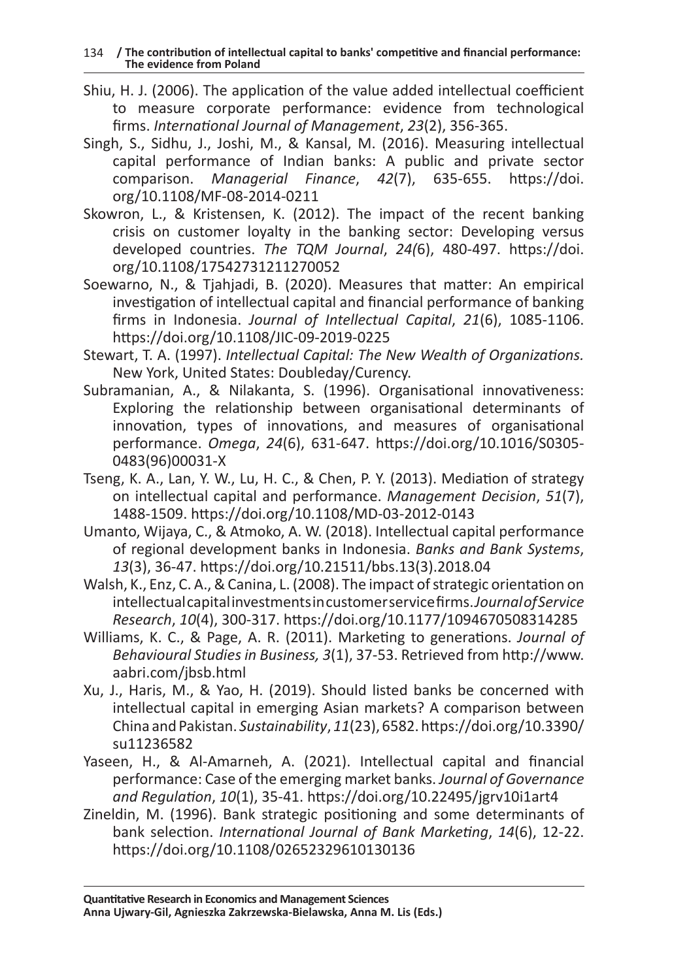- Shiu, H. J. (2006). The application of the value added intellectual coefficient to measure corporate performance: evidence from technological firms. *International Journal of Management*, *23*(2), 356-365.
- Singh, S., Sidhu, J., Joshi, M., & Kansal, M. (2016). Measuring intellectual capital performance of Indian banks: A public and private sector comparison. *Managerial Finance*, *42*(7), 635-655. https://doi. org/10.1108/MF-08-2014-0211
- Skowron, L., & Kristensen, K. (2012). The impact of the recent banking crisis on customer loyalty in the banking sector: Developing versus developed countries. *The TQM Journal*, *24(*6), 480-497. https://doi. org/10.1108/17542731211270052
- Soewarno, N., & Tjahjadi, B. (2020). Measures that matter: An empirical investigation of intellectual capital and financial performance of banking firms in Indonesia. *Journal of Intellectual Capital*, *21*(6), 1085-1106. https://doi.org/10.1108/JIC-09-2019-0225
- Stewart, T. A. (1997). *Intellectual Capital: The New Wealth of Organizations.* New York, United States: Doubleday/Curency.
- Subramanian, A., & Nilakanta, S. (1996). Organisational innovativeness: Exploring the relationship between organisational determinants of innovation, types of innovations, and measures of organisational performance. *Omega*, *24*(6), 631-647. https://doi.org/10.1016/S0305- 0483(96)00031-X
- Tseng, K. A., Lan, Y. W., Lu, H. C., & Chen, P. Y. (2013). Mediation of strategy on intellectual capital and performance. *Management Decision*, *51*(7), 1488-1509. https://doi.org/10.1108/MD-03-2012-0143
- Umanto, Wijaya, C., & Atmoko, A. W. (2018). Intellectual capital performance of regional development banks in Indonesia. *Banks and Bank Systems*, *13*(3), 36-47. https://doi.org/10.21511/bbs.13(3).2018.04
- Walsh, K., Enz, C. A., & Canina, L. (2008). The impact of strategic orientation on intellectual capital investments in customer service firms. *Journal of Service Research*, *10*(4), 300-317. https://doi.org/10.1177/1094670508314285
- Williams, K. C., & Page, A. R. (2011). Marketing to generations. *Journal of Behavioural Studies in Business, 3*(1), 37-53. Retrieved from http://www. aabri.com/jbsb.html
- Xu, J., Haris, M., & Yao, H. (2019). Should listed banks be concerned with intellectual capital in emerging Asian markets? A comparison between China and Pakistan. *Sustainability*, *11*(23), 6582. https://doi.org/10.3390/ su11236582
- Yaseen, H., & Al-Amarneh, A. (2021). Intellectual capital and financial performance: Case of the emerging market banks. *Journal of Governance and Regulation*, *10*(1), 35-41. https://doi.org/10.22495/jgrv10i1art4
- Zineldin, M. (1996). Bank strategic positioning and some determinants of bank selection. *International Journal of Bank Marketing*, *14*(6), 12-22. https://doi.org/10.1108/02652329610130136

**Quantitative Research in Economics and Management Sciences Anna Ujwary-Gil, Agnieszka Zakrzewska-Bielawska, Anna M. Lis (Eds.)**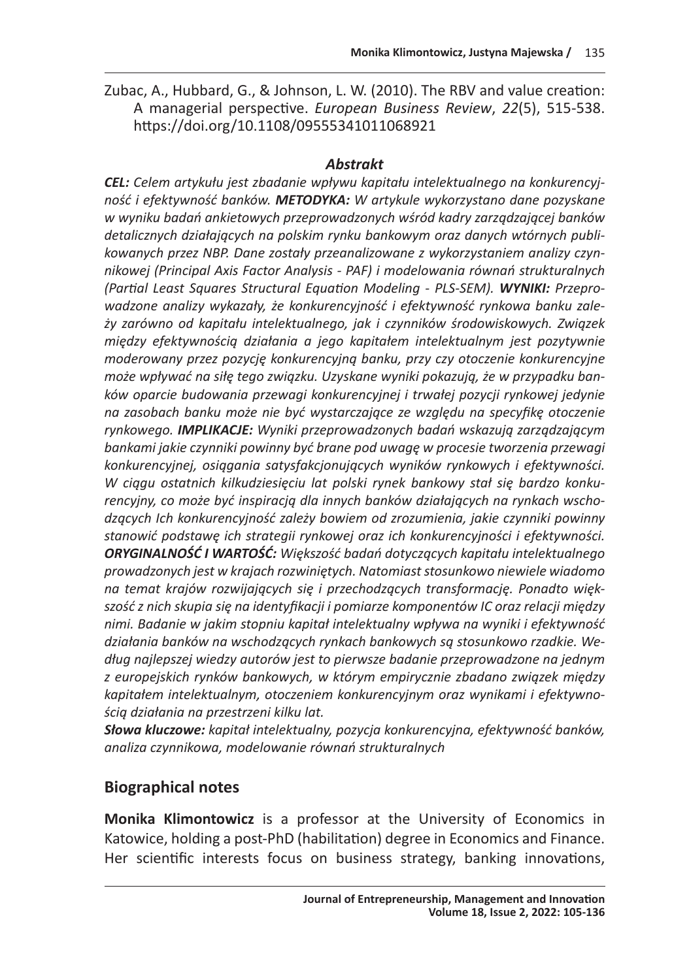Zubac, A., Hubbard, G., & Johnson, L. W. (2010). The RBV and value creation: A managerial perspective. *European Business Review*, *22*(5), 515-538. https://doi.org/10.1108/09555341011068921

### *Abstrakt*

*CEL: Celem artykułu jest zbadanie wpływu kapitału intelektualnego na konkurencyjność i efektywność banków. METODYKA: W artykule wykorzystano dane pozyskane w wyniku badań ankietowych przeprowadzonych wśród kadry zarządzającej banków detalicznych działających na polskim rynku bankowym oraz danych wtórnych publikowanych przez NBP. Dane zostały przeanalizowane z wykorzystaniem analizy czynnikowej (Principal Axis Factor Analysis - PAF) i modelowania równań strukturalnych (Partial Least Squares Structural Equation Modeling - PLS-SEM). WYNIKI: Przeprowadzone analizy wykazały, że konkurencyjność i efektywność rynkowa banku zależy zarówno od kapitału intelektualnego, jak i czynników środowiskowych. Związek między efektywnością działania a jego kapitałem intelektualnym jest pozytywnie moderowany przez pozycję konkurencyjną banku, przy czy otoczenie konkurencyjne może wpływać na siłę tego związku. Uzyskane wyniki pokazują, że w przypadku banków oparcie budowania przewagi konkurencyjnej i trwałej pozycji rynkowej jedynie na zasobach banku może nie być wystarczające ze względu na specyfikę otoczenie rynkowego. IMPLIKACJE: Wyniki przeprowadzonych badań wskazują zarządzającym bankami jakie czynniki powinny być brane pod uwagę w procesie tworzenia przewagi konkurencyjnej, osiągania satysfakcjonujących wyników rynkowych i efektywności. W ciągu ostatnich kilkudziesięciu lat polski rynek bankowy stał się bardzo konkurencyjny, co może być inspiracją dla innych banków działających na rynkach wschodzących Ich konkurencyjność zależy bowiem od zrozumienia, jakie czynniki powinny stanowić podstawę ich strategii rynkowej oraz ich konkurencyjności i efektywności. ORYGINALNOŚĆ I WARTOŚĆ: Większość badań dotyczących kapitału intelektualnego prowadzonych jest w krajach rozwiniętych. Natomiast stosunkowo niewiele wiadomo na temat krajów rozwijających się i przechodzących transformację. Ponadto większość z nich skupia się na identyfikacji i pomiarze komponentów IC oraz relacji między nimi. Badanie w jakim stopniu kapitał intelektualny wpływa na wyniki i efektywność działania banków na wschodzących rynkach bankowych są stosunkowo rzadkie. Według najlepszej wiedzy autorów jest to pierwsze badanie przeprowadzone na jednym z europejskich rynków bankowych, w którym empirycznie zbadano związek między kapitałem intelektualnym, otoczeniem konkurencyjnym oraz wynikami i efektywnością działania na przestrzeni kilku lat.*

*Słowa kluczowe: kapitał intelektualny, pozycja konkurencyjna, efektywność banków, analiza czynnikowa, modelowanie równań strukturalnych*

# **Biographical notes**

**Monika Klimontowicz** is a professor at the University of Economics in Katowice, holding a post-PhD (habilitation) degree in Economics and Finance. Her scientific interests focus on business strategy, banking innovations,